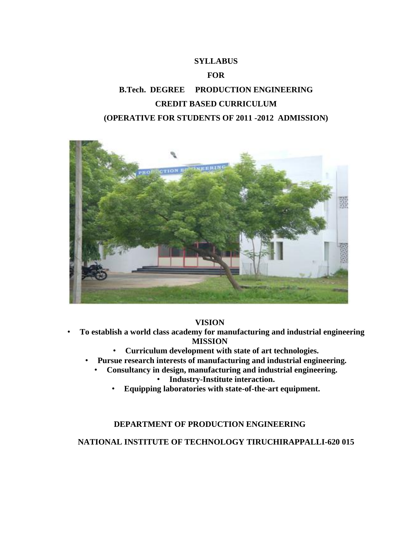# **SYLLABUS FOR B.Tech. DEGREE PRODUCTION ENGINEERING CREDIT BASED CURRICULUM (OPERATIVE FOR STUDENTS OF 2011 -2012 ADMISSION)**



#### **VISION**

- **To establish a world class academy for manufacturing and industrial engineering MISSION**
	- **Curriculum development with state of art technologies.**
	- **Pursue research interests of manufacturing and industrial engineering.**
		- **Consultancy in design, manufacturing and industrial engineering.**
			- **Industry-Institute interaction.**
			- **Equipping laboratories with state-of-the-art equipment.**

## **DEPARTMENT OF PRODUCTION ENGINEERING**

#### **NATIONAL INSTITUTE OF TECHNOLOGY TIRUCHIRAPPALLI-620 015**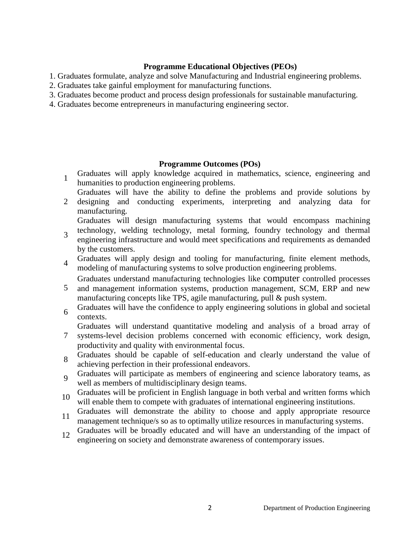#### **Programme Educational Objectives (PEOs)**

- 1. Graduates formulate, analyze and solve Manufacturing and Industrial engineering problems.
- 2. Graduates take gainful employment for manufacturing functions.
- 3. Graduates become product and process design professionals for sustainable manufacturing.
- 4. Graduates become entrepreneurs in manufacturing engineering sector.

## **Programme Outcomes (POs)**

- 1 Graduates will apply knowledge acquired in mathematics, science, engineering and humanities to production engineering problems.
- 2 Graduates will have the ability to define the problems and provide solutions by designing and conducting experiments, interpreting and analyzing data for
- manufacturing. Graduates will design manufacturing systems that would encompass machining
- 3 technology, welding technology, metal forming, foundry technology and thermal engineering infrastructure and would meet specifications and requirements as demanded
	- by the customers.
- 4 Graduates will apply design and tooling for manufacturing, finite element methods, modeling of manufacturing systems to solve production engineering problems.
- 5 Graduates understand manufacturing technologies like computer controlled processes and management information systems, production management, SCM, ERP and new
- manufacturing concepts like TPS, agile manufacturing, pull & push system.
- 6 Graduates will have the confidence to apply engineering solutions in global and societal contexts.

Graduates will understand quantitative modeling and analysis of a broad array of

- 7 systems-level decision problems concerned with economic efficiency, work design, productivity and quality with environmental focus.
- 8 Graduates should be capable of self-education and clearly understand the value of achieving perfection in their professional endeavors.
- 9 Graduates will participate as members of engineering and science laboratory teams, as well as members of multidisciplinary design teams.
- <sup>10</sup> Graduates will be proficient in English language in both verbal and written forms which will enable them to compete with graduates of international engineering institutions.
- <sup>11</sup> Graduates will demonstrate the ability to choose and apply appropriate resource management technique/s so as to optimally utilize resources in manufacturing systems.
- <sup>12</sup> Graduates will be broadly educated and will have an understanding of the impact of engineering on society and demonstrate awareness of contemporary issues.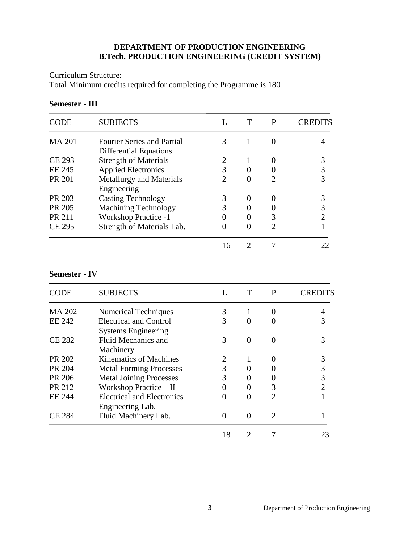# **DEPARTMENT OF PRODUCTION ENGINEERING B.Tech. PRODUCTION ENGINEERING (CREDIT SYSTEM)**

Curriculum Structure:

Total Minimum credits required for completing the Programme is 180

#### **Semester - III**

| CODE          | <b>SUBJECTS</b>                   |                             | P | CREDITS |
|---------------|-----------------------------------|-----------------------------|---|---------|
| <b>MA 201</b> | <b>Fourier Series and Partial</b> | 3                           |   |         |
|               | <b>Differential Equations</b>     |                             |   |         |
| <b>CE 293</b> | <b>Strength of Materials</b>      |                             |   |         |
| EE 245        | <b>Applied Electronics</b>        | 3                           |   | 3       |
| <b>PR 201</b> | <b>Metallurgy and Materials</b>   | $\mathcal{D}_{\mathcal{L}}$ |   |         |
|               | Engineering                       |                             |   |         |
| PR 203        | <b>Casting Technology</b>         | 3                           |   |         |
| PR 205        | <b>Machining Technology</b>       | 3                           |   | 3       |
| <b>PR 211</b> | <b>Workshop Practice -1</b>       |                             |   |         |
| <b>CE 295</b> | Strength of Materials Lab.        | 0                           | 2 |         |
|               |                                   | 16                          |   |         |

#### **Semester - IV**

| CODE          | <b>SUBJECTS</b>                                             | Ι.             | T                           | P             | CRED |
|---------------|-------------------------------------------------------------|----------------|-----------------------------|---------------|------|
| <b>MA 202</b> | <b>Numerical Techniques</b>                                 | 3              |                             | $\mathbf{0}$  |      |
| <b>EE 242</b> | <b>Electrical and Control</b><br><b>Systems Engineering</b> | 3              | $\Omega$                    |               |      |
| <b>CE 282</b> | Fluid Mechanics and<br>Machinery                            | 3              | $\Omega$                    |               |      |
| PR 202        | Kinematics of Machines                                      | $\overline{2}$ |                             |               |      |
| PR 204        | <b>Metal Forming Processes</b>                              | 3              | $\mathbf{\Omega}$           |               |      |
| PR 206        | <b>Metal Joining Processes</b>                              | 3              | $\mathbf{\Omega}$           |               |      |
| PR 212        | Workshop Practice - II                                      | 0              | $\theta$                    | 3             | 2    |
| EE 244        | Electrical and Electronics<br>Engineering Lab.              | 0              | 0                           | $\mathcal{D}$ |      |
| <b>CE 284</b> | Fluid Machinery Lab.                                        | 0              | $\Omega$                    | 2             |      |
|               |                                                             | 18             | $\mathcal{D}_{\mathcal{L}}$ |               | 23   |
|               |                                                             |                |                             |               |      |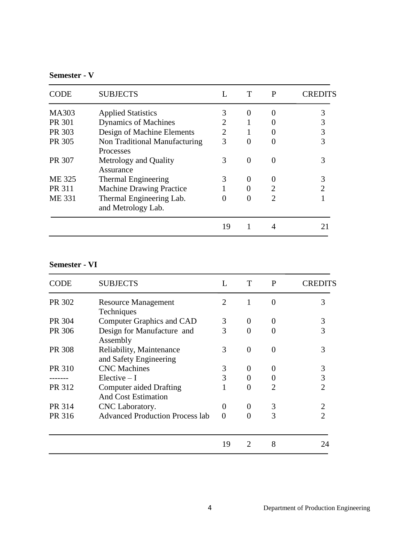# **Semester - V**

| CODE          | <b>SUBJECTS</b>                                |                | T              | P                           | ERED |
|---------------|------------------------------------------------|----------------|----------------|-----------------------------|------|
| <b>MA303</b>  | <b>Applied Statistics</b>                      |                | $\theta$       | $\theta$                    |      |
| PR 301        | <b>Dynamics of Machines</b>                    | $\overline{2}$ |                |                             |      |
| PR 303        | Design of Machine Elements                     | 2              |                |                             | 3    |
| PR 305        | Non Traditional Manufacturing<br>Processes     | 3              | 0              | $\Omega$                    |      |
| PR 307        | Metrology and Quality<br>Assurance             | 3              | $\overline{0}$ | 0                           |      |
| ME 325        | Thermal Engineering                            | 3              | 0              | $\theta$                    |      |
| <b>PR 311</b> | <b>Machine Drawing Practice</b>                |                | 0              | $\overline{2}$              |      |
| <b>ME 331</b> | Thermal Engineering Lab.<br>and Metrology Lab. |                | 0              | $\mathcal{D}_{\mathcal{A}}$ |      |
|               |                                                | 19             |                | 4                           |      |
|               |                                                |                |                |                             |      |

# **Semester - VI**

| CODE   | <b>SUBJECTS</b>                                              | L              | T        | $\mathbf{P}$                | CREDITS |
|--------|--------------------------------------------------------------|----------------|----------|-----------------------------|---------|
| PR 302 | <b>Resource Management</b><br>Techniques                     | $\overline{2}$ | 1        | $\theta$                    | 3       |
| PR 304 | <b>Computer Graphics and CAD</b>                             | 3              | $\theta$ | $\theta$                    | 3       |
| PR 306 | Design for Manufacture and<br>Assembly                       | 3              | $\Omega$ | 0                           |         |
| PR 308 | Reliability, Maintenance<br>and Safety Engineering           | 3              | $\Omega$ | $\Omega$                    | 3       |
| PR 310 | <b>CNC</b> Machines                                          | 3              | $\theta$ |                             | 3       |
|        | $Elective-I$                                                 | 3              |          |                             | 3       |
| PR 312 | <b>Computer aided Drafting</b><br><b>And Cost Estimation</b> |                | $\Omega$ | $\mathcal{D}_{\mathcal{L}}$ | 2       |
| PR 314 | CNC Laboratory.                                              | 0              | $\theta$ | 3                           |         |
| PR 316 | <b>Advanced Production Process lab</b>                       | $\Omega$       |          | 3                           |         |
|        |                                                              | 19             | 2        | 8                           | ')4     |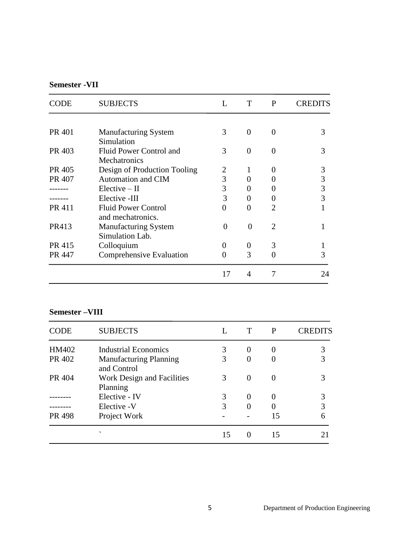# **Semester -VII**

| CODE   | <b>SUBJECTS</b>              | L        | T            | P | CREDITS |
|--------|------------------------------|----------|--------------|---|---------|
|        |                              |          |              |   |         |
| PR 401 | <b>Manufacturing System</b>  | 3        | 0            | 0 | 3       |
|        | Simulation                   |          |              |   |         |
| PR 403 | Fluid Power Control and      | 3        | 0            | 0 | 3       |
|        | <b>Mechatronics</b>          |          |              |   |         |
| PR 405 | Design of Production Tooling | 2        | 1            | 0 | 3       |
| PR 407 | <b>Automation and CIM</b>    | 3        |              |   | 3       |
|        | $Electric - II$              | 3        |              |   | 3       |
|        | Elective -III                | 3        | $\mathbf{0}$ |   | 3       |
| PR 411 | <b>Fluid Power Control</b>   | 0        | 0            | 2 |         |
|        | and mechatronics.            |          |              |   |         |
| PR413  | <b>Manufacturing System</b>  | $\Omega$ | $\Omega$     | 2 |         |
|        | Simulation Lab.              |          |              |   |         |
| PR 415 | Colloquium                   | $\Omega$ | $\theta$     | 3 |         |
| PR 447 | Comprehensive Evaluation     | $\Omega$ | 3            |   | 3       |
|        |                              | 17       | 4            |   | 24      |
|        |                              |          |              |   |         |

# **Semester –VIII**

| <b>CODE</b> | <b>SUBJECTS</b>                              |    |          | P        | CREDITS |
|-------------|----------------------------------------------|----|----------|----------|---------|
| HM402       | <b>Industrial Economics</b>                  | 3  | $\Omega$ |          | 3       |
| PR 402      | <b>Manufacturing Planning</b><br>and Control | 3  |          |          | 3       |
| PR 404      | Work Design and Facilities<br>Planning       | 3  | $\Omega$ | $\Omega$ |         |
|             | Elective - IV                                | 3  | $\Omega$ |          | 3       |
|             | Elective -V                                  | 3  |          |          | 3       |
| PR 498      | Project Work                                 |    |          | 15       | 6       |
|             | $\overline{\phantom{0}}$                     | 15 |          | 15       |         |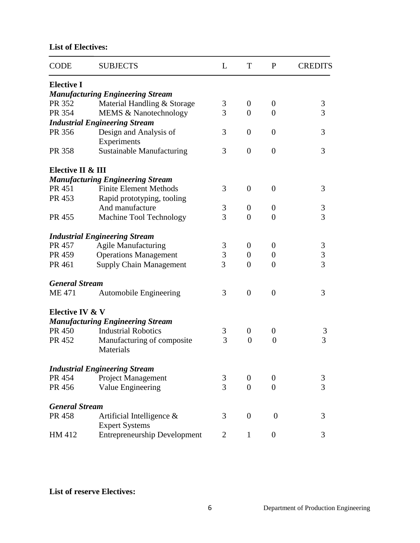# **List of Electives:**

| <b>CODE</b>           | <b>SUBJECTS</b>                                       | L | T                | P                | <b>CREDITS</b> |
|-----------------------|-------------------------------------------------------|---|------------------|------------------|----------------|
| <b>Elective I</b>     |                                                       |   |                  |                  |                |
|                       | <b>Manufacturing Engineering Stream</b>               |   |                  |                  |                |
| PR 352                | Material Handling & Storage                           | 3 | $\overline{0}$   | $\boldsymbol{0}$ | $\mathfrak{Z}$ |
| PR 354                | MEMS & Nanotechnology                                 | 3 | $\overline{0}$   | $\overline{0}$   | $\overline{3}$ |
|                       | <b>Industrial Engineering Stream</b>                  |   |                  |                  |                |
| PR 356                | Design and Analysis of                                | 3 | $\boldsymbol{0}$ | $\overline{0}$   | 3              |
|                       | Experiments                                           |   |                  |                  |                |
| PR 358                | <b>Sustainable Manufacturing</b>                      | 3 | $\overline{0}$   | $\overline{0}$   | 3              |
| Elective II & III     |                                                       |   |                  |                  |                |
|                       | <b>Manufacturing Engineering Stream</b>               |   |                  |                  |                |
| PR 451                | <b>Finite Element Methods</b>                         | 3 | $\theta$         | $\overline{0}$   | 3              |
| PR 453                | Rapid prototyping, tooling                            |   |                  |                  |                |
|                       | And manufacture                                       | 3 | $\overline{0}$   | $\theta$         | $\mathfrak{Z}$ |
| PR 455                | Machine Tool Technology                               | 3 | $\overline{0}$   | $\overline{0}$   | $\overline{3}$ |
|                       | <b>Industrial Engineering Stream</b>                  |   |                  |                  |                |
| PR 457                | <b>Agile Manufacturing</b>                            | 3 | $\theta$         | $\theta$         |                |
| PR 459                | <b>Operations Management</b>                          | 3 | $\overline{0}$   | $\theta$         | $\frac{3}{3}$  |
| PR 461                | <b>Supply Chain Management</b>                        | 3 | $\overline{0}$   | $\overline{0}$   | $\overline{3}$ |
| <b>General Stream</b> |                                                       |   |                  |                  |                |
| <b>ME471</b>          | <b>Automobile Engineering</b>                         | 3 | $\overline{0}$   | $\overline{0}$   | 3              |
| Elective IV & V       |                                                       |   |                  |                  |                |
|                       | <b>Manufacturing Engineering Stream</b>               |   |                  |                  |                |
| PR 450                | <b>Industrial Robotics</b>                            | 3 | $\boldsymbol{0}$ | $\boldsymbol{0}$ | 3              |
| PR 452                | Manufacturing of composite<br>Materials               | 3 | $\overline{0}$   | $\overline{0}$   | $\overline{3}$ |
|                       | <b>Industrial Engineering Stream</b>                  |   |                  |                  |                |
| PR 454                | Project Management                                    | 3 | 0                | 0                | 3              |
| PR 456                | Value Engineering                                     | 3 | $\overline{0}$   | $\theta$         | $\overline{3}$ |
| <b>General Stream</b> |                                                       |   |                  |                  |                |
| PR 458                | Artificial Intelligence $\&$<br><b>Expert Systems</b> | 3 | $\boldsymbol{0}$ | $\boldsymbol{0}$ | 3              |
| HM 412                | <b>Entrepreneurship Development</b>                   | 2 | 1                | $\boldsymbol{0}$ | 3              |

**List of reserve Electives:**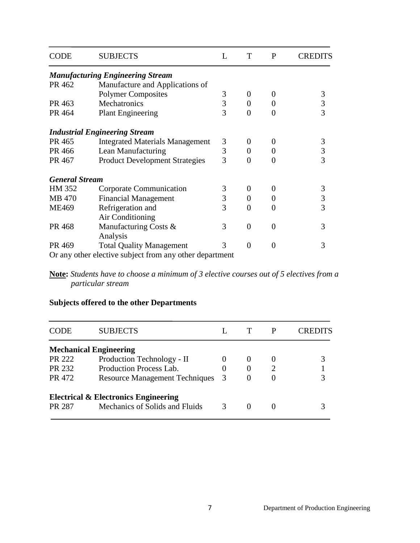| <b>CODE</b>           | <b>SUBJECTS</b>                                         | L | T              | P              | CREDITS        |
|-----------------------|---------------------------------------------------------|---|----------------|----------------|----------------|
|                       | <b>Manufacturing Engineering Stream</b>                 |   |                |                |                |
| PR 462                | Manufacture and Applications of                         |   |                |                |                |
|                       | <b>Polymer Composites</b>                               | 3 | $\theta$       | $\Omega$       | $\mathfrak{Z}$ |
| PR 463                | Mechatronics                                            | 3 | $\overline{0}$ | $\overline{0}$ |                |
| PR 464                | <b>Plant Engineering</b>                                | 3 | $\Omega$       | 0              | $\frac{3}{3}$  |
|                       | <b>Industrial Engineering Stream</b>                    |   |                |                |                |
| PR 465                | <b>Integrated Materials Management</b>                  | 3 | $\theta$       | $\theta$       | 3              |
| PR 466                | Lean Manufacturing                                      | 3 | $\overline{0}$ | $\overline{0}$ | 3              |
| PR 467                | <b>Product Development Strategies</b>                   | 3 | $\theta$       | 0              | $\overline{3}$ |
| <b>General Stream</b> |                                                         |   |                |                |                |
| HM 352                | Corporate Communication                                 | 3 | $\Omega$       | $\theta$       | 3              |
| MB 470                | <b>Financial Management</b>                             | 3 | $\theta$       | 0              | $\overline{3}$ |
| <b>ME469</b>          | Refrigeration and                                       | 3 | $\theta$       | 0              | $\overline{3}$ |
|                       | Air Conditioning                                        |   |                |                |                |
| PR 468                | Manufacturing Costs &                                   | 3 | $\Omega$       | $\Omega$       | 3              |
|                       | Analysis                                                |   |                |                |                |
| PR 469                | <b>Total Quality Management</b>                         | 3 | $\theta$       | 0              | 3              |
|                       | Or any other elective subject from any other department |   |                |                |                |

**Note:** *Students have to choose a minimum of 3 elective courses out of 5 electives from a particular stream*

# **Subjects offered to the other Departments**

| CODE          | <b>SUBJECTS</b>                                 |   |  | K FI |
|---------------|-------------------------------------------------|---|--|------|
|               | <b>Mechanical Engineering</b>                   |   |  |      |
| PR 222        | Production Technology - II                      |   |  |      |
| PR 232        | Production Process Lab.                         |   |  |      |
| PR 472        | <b>Resource Management Techniques</b>           | 3 |  |      |
|               | <b>Electrical &amp; Electronics Engineering</b> |   |  |      |
| <b>PR 287</b> | Mechanics of Solids and Fluids                  | 3 |  |      |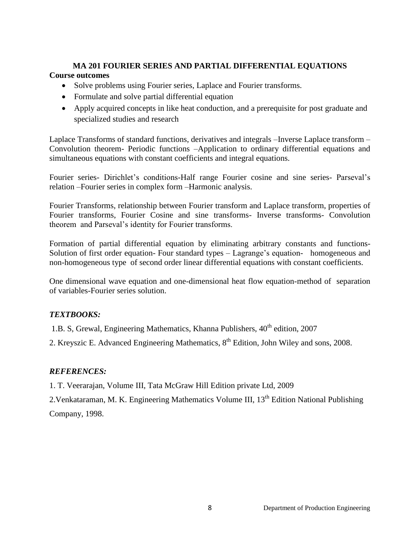# **MA 201 FOURIER SERIES AND PARTIAL DIFFERENTIAL EQUATIONS**

# **Course outcomes**

- Solve problems using Fourier series, Laplace and Fourier transforms.
- Formulate and solve partial differential equation
- Apply acquired concepts in like heat conduction, and a prerequisite for post graduate and specialized studies and research

Laplace Transforms of standard functions, derivatives and integrals –Inverse Laplace transform – Convolution theorem- Periodic functions –Application to ordinary differential equations and simultaneous equations with constant coefficients and integral equations.

Fourier series- Dirichlet's conditions-Half range Fourier cosine and sine series- Parseval's relation –Fourier series in complex form –Harmonic analysis.

Fourier Transforms, relationship between Fourier transform and Laplace transform, properties of Fourier transforms, Fourier Cosine and sine transforms- Inverse transforms- Convolution theorem and Parseval's identity for Fourier transforms.

Formation of partial differential equation by eliminating arbitrary constants and functions-Solution of first order equation- Four standard types – Lagrange's equation- homogeneous and non-homogeneous type of second order linear differential equations with constant coefficients.

One dimensional wave equation and one-dimensional heat flow equation-method of separation of variables-Fourier series solution.

# *TEXTBOOKS:*

1.B. S, Grewal, Engineering Mathematics, Khanna Publishers,  $40<sup>th</sup>$  edition, 2007

2. Kreyszic E. Advanced Engineering Mathematics, 8<sup>th</sup> Edition, John Wiley and sons, 2008.

# *REFERENCES:*

1. T. Veerarajan, Volume III, Tata McGraw Hill Edition private Ltd, 2009

2.Venkataraman, M. K. Engineering Mathematics Volume III, 13<sup>th</sup> Edition National Publishing Company, 1998.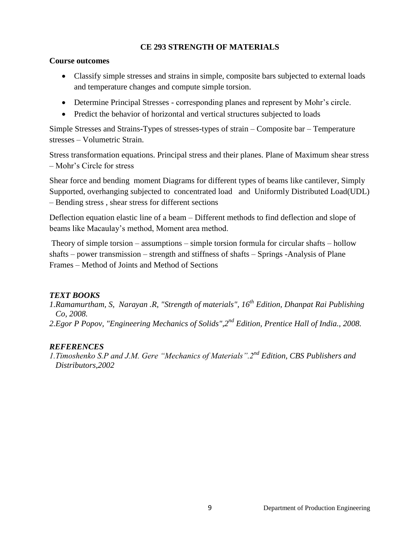#### **CE 293 STRENGTH OF MATERIALS**

#### **Course outcomes**

- Classify simple stresses and strains in simple, composite bars subjected to external loads and temperature changes and compute simple torsion.
- Determine Principal Stresses corresponding planes and represent by Mohr's circle.
- Predict the behavior of horizontal and vertical structures subjected to loads

Simple Stresses and Strains**-**Types of stresses-types of strain – Composite bar – Temperature stresses – Volumetric Strain.

Stress transformation equations. Principal stress and their planes. Plane of Maximum shear stress – Mohr's Circle for stress

Shear force and bending moment Diagrams for different types of beams like cantilever, Simply Supported, overhanging subjected to concentrated load and Uniformly Distributed Load(UDL) – Bending stress , shear stress for different sections

Deflection equation elastic line of a beam – Different methods to find deflection and slope of beams like Macaulay's method, Moment area method.

Theory of simple torsion – assumptions – simple torsion formula for circular shafts – hollow shafts – power transmission – strength and stiffness of shafts – Springs -Analysis of Plane Frames – Method of Joints and Method of Sections

## *TEXT BOOKS*

*1.Ramamurtham, S, Narayan .R, "Strength of materials", 16th Edition, Dhanpat Rai Publishing Co, 2008. 2.Egor P Popov, "Engineering Mechanics of Solids",2nd Edition, Prentice Hall of India., 2008.*

## *REFERENCES*

*1.Timoshenko S.P and J.M. Gere "Mechanics of Materials".2nd Edition, CBS Publishers and Distributors,2002*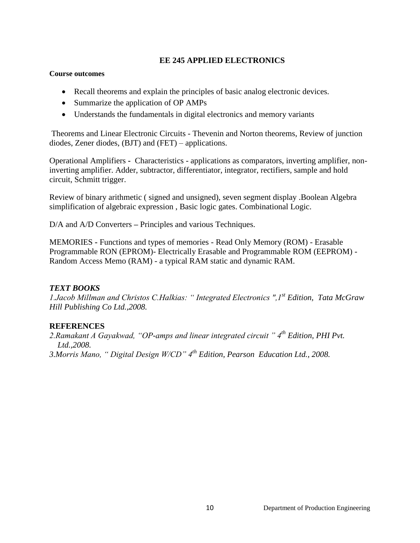#### **EE 245 APPLIED ELECTRONICS**

#### **Course outcomes**

- Recall theorems and explain the principles of basic analog electronic devices.
- Summarize the application of OP AMPs
- Understands the fundamentals in digital electronics and memory variants

Theorems and Linear Electronic Circuits - Thevenin and Norton theorems, Review of junction diodes, Zener diodes, (BJT) and (FET) – applications.

Operational Amplifiers **-** Characteristics - applications as comparators, inverting amplifier, noninverting amplifier. Adder, subtractor, differentiator, integrator, rectifiers, sample and hold circuit, Schmitt trigger.

Review of binary arithmetic ( signed and unsigned), seven segment display .Boolean Algebra simplification of algebraic expression , Basic logic gates. Combinational Logic.

D/A and A/D Converters – Principles and various Techniques.

MEMORIES **-** Functions and types of memories - Read Only Memory (ROM) - Erasable Programmable RON (EPROM)- Electrically Erasable and Programmable ROM (EEPROM) - Random Access Memo (RAM) - a typical RAM static and dynamic RAM.

## *TEXT BOOKS*

*1.Jacob Millman and Christos C.Halkias: " Integrated Electronics ",1st Edition, Tata McGraw Hill Publishing Co Ltd.,2008.*

## **REFERENCES**

*2.Ramakant A Gayakwad, "OP-amps and linear integrated circuit " 4th Edition, PHI Pvt. Ltd.,2008. 3.Morris Mano, " Digital Design W/CD" 4th Edition, Pearson Education Ltd., 2008.*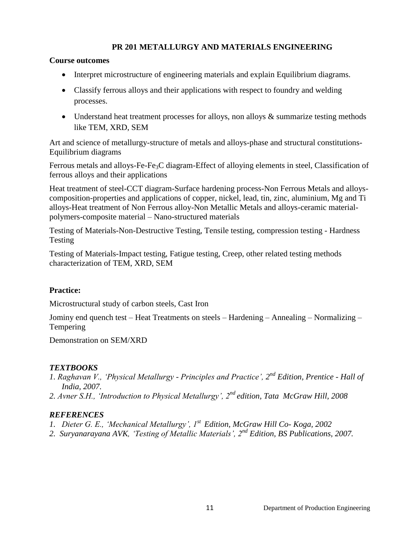## **PR 201 METALLURGY AND MATERIALS ENGINEERING**

#### **Course outcomes**

- Interpret microstructure of engineering materials and explain Equilibrium diagrams.
- Classify ferrous alloys and their applications with respect to foundry and welding processes.
- Understand heat treatment processes for alloys, non alloys & summarize testing methods like TEM, XRD, SEM

Art and science of metallurgy-structure of metals and alloys-phase and structural constitutions-Equilibrium diagrams

Ferrous metals and alloys-Fe-Fe<sub>3</sub>C diagram-Effect of alloying elements in steel, Classification of ferrous alloys and their applications

Heat treatment of steel-CCT diagram-Surface hardening process-Non Ferrous Metals and alloyscomposition-properties and applications of copper, nickel, lead, tin, zinc, aluminium, Mg and Ti alloys-Heat treatment of Non Ferrous alloy-Non Metallic Metals and alloys-ceramic materialpolymers-composite material – Nano-structured materials

Testing of Materials-Non-Destructive Testing, Tensile testing, compression testing - Hardness Testing

Testing of Materials-Impact testing, Fatigue testing, Creep, other related testing methods characterization of TEM, XRD, SEM

## **Practice:**

Microstructural study of carbon steels, Cast Iron

Jominy end quench test – Heat Treatments on steels – Hardening – Annealing – Normalizing – Tempering

Demonstration on SEM/XRD

## *TEXTBOOKS*

- *1. Raghavan V., "Physical Metallurgy - Principles and Practice", 2 nd Edition, Prentice - Hall of India, 2007.*
- *2. Avner S.H., "Introduction to Physical Metallurgy", 2nd edition, Tata McGraw Hill, 2008*

## *REFERENCES*

- *1. Dieter G. E., "Mechanical Metallurgy", 1st Edition, McGraw Hill Co- Koga, 2002*
- *2. Suryanarayana AVK, "Testing of Metallic Materials", 2nd Edition, BS Publications, 2007.*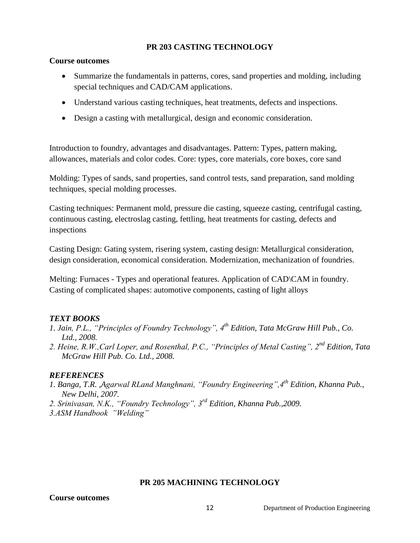#### **PR 203 CASTING TECHNOLOGY**

#### **Course outcomes**

- Summarize the fundamentals in patterns, cores, sand properties and molding, including special techniques and CAD/CAM applications.
- Understand various casting techniques, heat treatments, defects and inspections.
- Design a casting with metallurgical, design and economic consideration.

Introduction to foundry, advantages and disadvantages. Pattern: Types, pattern making, allowances, materials and color codes. Core: types, core materials, core boxes, core sand

Molding: Types of sands, sand properties, sand control tests, sand preparation, sand molding techniques, special molding processes.

Casting techniques: Permanent mold, pressure die casting, squeeze casting, centrifugal casting, continuous casting, electroslag casting, fettling, heat treatments for casting, defects and inspections

Casting Design: Gating system, risering system, casting design: Metallurgical consideration, design consideration, economical consideration. Modernization, mechanization of foundries.

Melting: Furnaces - Types and operational features. Application of CAD\CAM in foundry. Casting of complicated shapes: automotive components, casting of light alloys

## *TEXT BOOKS*

- *1. Jain, P.L., "Principles of Foundry Technology", 4th Edition, Tata McGraw Hill Pub., Co. Ltd., 2008.*
- *2. Heine, R.W.,Carl Loper, and Rosenthal, P.C., "Principles of Metal Casting", 2nd Edition, Tata McGraw Hill Pub. Co. Ltd., 2008.*

## *REFERENCES*

- *1. Banga, T.R. ,Agarwal RLand Manghnani, "Foundry Engineering",4th Edition, Khanna Pub., New Delhi, 2007.*
- *2. Srinivasan, N.K., "Foundry Technology", 3rd Edition, Khanna Pub.,2009.*
- *3.ASM Handbook "Welding"*

## **PR 205 MACHINING TECHNOLOGY**

#### **Course outcomes**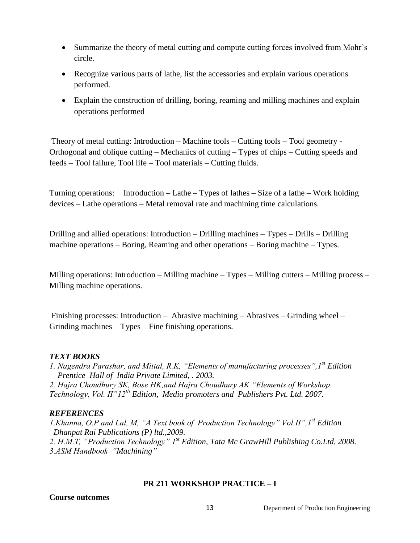- Summarize the theory of metal cutting and compute cutting forces involved from Mohr's circle.
- Recognize various parts of lathe, list the accessories and explain various operations performed.
- Explain the construction of drilling, boring, reaming and milling machines and explain operations performed

Theory of metal cutting: Introduction – Machine tools – Cutting tools – Tool geometry - Orthogonal and oblique cutting – Mechanics of cutting – Types of chips – Cutting speeds and feeds – Tool failure, Tool life – Tool materials – Cutting fluids.

Turning operations: Introduction – Lathe – Types of lathes – Size of a lathe – Work holding devices – Lathe operations – Metal removal rate and machining time calculations.

Drilling and allied operations: Introduction – Drilling machines – Types – Drills – Drilling machine operations – Boring, Reaming and other operations – Boring machine – Types.

Milling operations: Introduction – Milling machine – Types – Milling cutters – Milling process – Milling machine operations.

Finishing processes: Introduction – Abrasive machining – Abrasives – Grinding wheel – Grinding machines – Types – Fine finishing operations.

#### *TEXT BOOKS*

*1. Nagendra Parashar, and Mittal, R.K, "Elements of manufacturing processes",1st Edition Prentice Hall of India Private Limited, . 2003.*

*2. Hajra Choudhury SK, Bose HK,and Hajra Choudhury AK "Elements of Workshop Technology, Vol. II"12th Edition, Media promoters and Publishers Pvt. Ltd. 2007.*

## *REFERENCES*

*1.Khanna, O.P and Lal, M, "A Text book of Production Technology" Vol.II",1st Edition Dhanpat Rai Publications (P) ltd.,2009. 2. H.M.T, "Production Technology" 1st Edition, Tata Mc GrawHill Publishing Co.Ltd, 2008. 3.ASM Handbook "Machining"*

#### **PR 211 WORKSHOP PRACTICE – I**

**Course outcomes**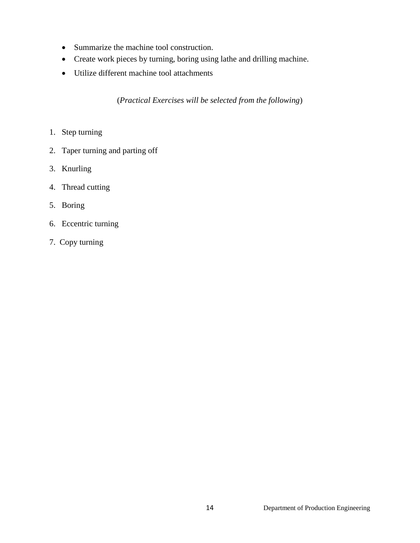- Summarize the machine tool construction.
- Create work pieces by turning, boring using lathe and drilling machine.
- Utilize different machine tool attachments

(*Practical Exercises will be selected from the following*)

- 1. Step turning
- 2. Taper turning and parting off
- 3. Knurling
- 4. Thread cutting
- 5. Boring
- 6. Eccentric turning
- 7. Copy turning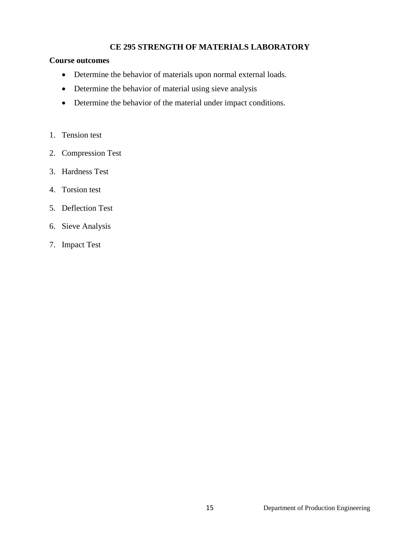## **CE 295 STRENGTH OF MATERIALS LABORATORY**

#### **Course outcomes**

- Determine the behavior of materials upon normal external loads.
- Determine the behavior of material using sieve analysis
- Determine the behavior of the material under impact conditions.
- 1. Tension test
- 2. Compression Test
- 3. Hardness Test
- 4. Torsion test
- 5. Deflection Test
- 6. Sieve Analysis
- 7. Impact Test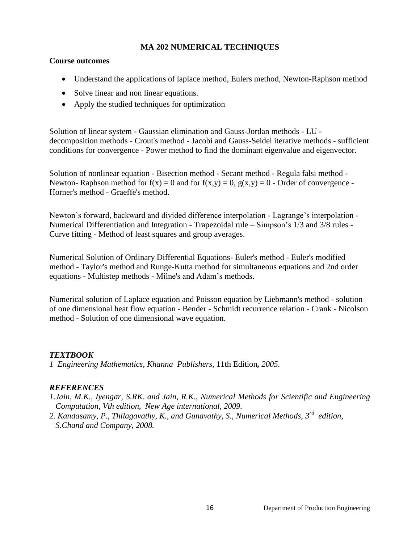#### **MA 202 NUMERICAL TECHNIQUES**

#### **Course outcomes**

- Understand the applications of laplace method, Eulers method, Newton-Raphson method
- Solve linear and non linear equations.
- Apply the studied techniques for optimization

Solution of linear system - Gaussian elimination and Gauss-Jordan methods - LU decomposition methods - Crout's method - Jacobi and Gauss-Seidel iterative methods - sufficient conditions for convergence - Power method to find the dominant eigenvalue and eigenvector.

Solution of nonlinear equation - Bisection method - Secant method - Regula falsi method - Newton- Raphson method for  $f(x) = 0$  and for  $f(x,y) = 0$ ,  $g(x,y) = 0$  - Order of convergence -Horner's method - Graeffe's method.

Newton's forward, backward and divided difference interpolation - Lagrange's interpolation - Numerical Differentiation and Integration - Trapezoidal rule – Simpson's 1/3 and 3/8 rules - Curve fitting - Method of least squares and group averages.

Numerical Solution of Ordinary Differential Equations- Euler's method - Euler's modified method - Taylor's method and Runge-Kutta method for simultaneous equations and 2nd order equations - Multistep methods - Milne's and Adam's methods.

Numerical solution of Laplace equation and Poisson equation by Liebmann's method - solution of one dimensional heat flow equation - Bender - Schmidt recurrence relation - Crank - Nicolson method - Solution of one dimensional wave equation.

## *TEXTBOOK*

*1 Engineering Mathematics, Khanna Publishers,* 11th Edition*, 2005.*

## *REFERENCES*

*1.Jain, M.K., Iyengar, S.RK. and Jain, R.K., Numerical Methods for Scientific and Engineering Computation, Vth edition, New Age international, 2009.*

*2. Kandasamy, P., Thilagavathy, K., and Gunavathy, S., Numerical Methods, 3rd edition, S.Chand and Company, 2008.*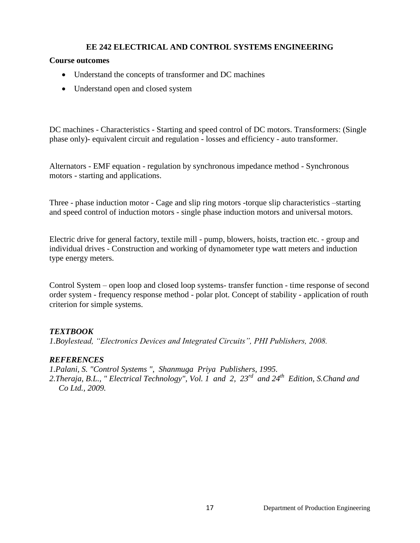#### **EE 242 ELECTRICAL AND CONTROL SYSTEMS ENGINEERING**

#### **Course outcomes**

- Understand the concepts of transformer and DC machines
- Understand open and closed system

DC machines - Characteristics - Starting and speed control of DC motors. Transformers: (Single phase only)- equivalent circuit and regulation - losses and efficiency - auto transformer.

Alternators - EMF equation - regulation by synchronous impedance method - Synchronous motors - starting and applications.

Three - phase induction motor - Cage and slip ring motors -torque slip characteristics –starting and speed control of induction motors - single phase induction motors and universal motors.

Electric drive for general factory, textile mill - pump, blowers, hoists, traction etc. - group and individual drives - Construction and working of dynamometer type watt meters and induction type energy meters.

Control System – open loop and closed loop systems- transfer function - time response of second order system - frequency response method - polar plot. Concept of stability - application of routh criterion for simple systems.

## *TEXTBOOK*

*1.Boylestead, "Electronics Devices and Integrated Circuits", PHI Publishers, 2008.*

#### *REFERENCES*

*1.Palani, S. "Control Systems ", Shanmuga Priya Publishers, 1995. 2.Theraja, B.L., " Electrical Technology", Vol. 1 and 2, 23rd and 24th Edition, S.Chand and Co Ltd., 2009.*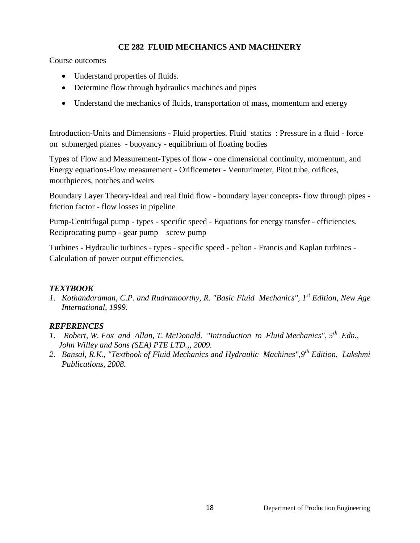## **CE 282 FLUID MECHANICS AND MACHINERY**

Course outcomes

- Understand properties of fluids.
- Determine flow through hydraulics machines and pipes
- Understand the mechanics of fluids, transportation of mass, momentum and energy

Introduction-Units and Dimensions - Fluid properties. Fluid statics : Pressure in a fluid - force on submerged planes - buoyancy - equilibrium of floating bodies

Types of Flow and Measurement-Types of flow - one dimensional continuity, momentum, and Energy equations-Flow measurement - Orificemeter - Venturimeter, Pitot tube, orifices, mouthpieces, notches and weirs

Boundary Layer Theory-Ideal and real fluid flow - boundary layer concepts- flow through pipes friction factor - flow losses in pipeline

Pump**-**Centrifugal pump - types - specific speed - Equations for energy transfer - efficiencies. Reciprocating pump - gear pump – screw pump

Turbines **-** Hydraulic turbines - types - specific speed - pelton - Francis and Kaplan turbines - Calculation of power output efficiencies.

## *TEXTBOOK*

*1. Kothandaraman, C.P. and Rudramoorthy, R. "Basic Fluid Mechanics", 1st Edition, New Age International, 1999.*

## *REFERENCES*

- 1. Robert, W. Fox and Allan, T. McDonald. "Introduction to Fluid Mechanics", 5<sup>th</sup> Edn., *John Willey and Sons (SEA) PTE LTD.,, 2009.*
- *2. Bansal, R.K., "Textbook of Fluid Mechanics and Hydraulic Machines",9th Edition, Lakshmi Publications, 2008.*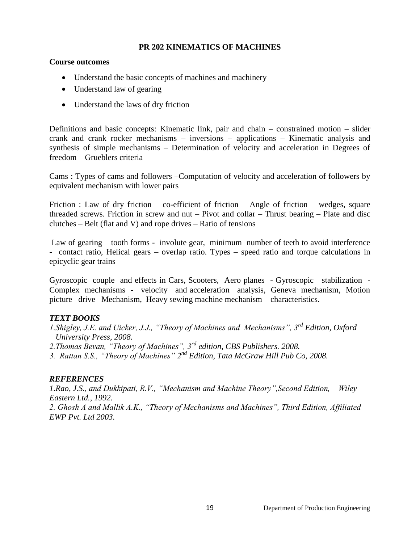#### **PR 202 KINEMATICS OF MACHINES**

#### **Course outcomes**

- Understand the basic concepts of machines and machinery
- Understand law of gearing
- Understand the laws of dry friction

Definitions and basic concepts: Kinematic link, pair and chain – constrained motion – slider crank and crank rocker mechanisms – inversions – applications – Kinematic analysis and synthesis of simple mechanisms – Determination of velocity and acceleration in Degrees of freedom – Grueblers criteria

Cams : Types of cams and followers –Computation of velocity and acceleration of followers by equivalent mechanism with lower pairs

Friction : Law of dry friction – co-efficient of friction – Angle of friction – wedges, square threaded screws. Friction in screw and nut – Pivot and collar – Thrust bearing – Plate and disc clutches – Belt (flat and V) and rope drives – Ratio of tensions

Law of gearing – tooth forms - involute gear, minimum number of teeth to avoid interference - contact ratio, Helical gears – overlap ratio. Types – speed ratio and torque calculations in epicyclic gear trains

Gyroscopic couple and effects in Cars, Scooters, Aero planes - Gyroscopic stabilization - Complex mechanisms - velocity and acceleration analysis, Geneva mechanism, Motion picture drive –Mechanism, Heavy sewing machine mechanism – characteristics.

## *TEXT BOOKS*

- *1.Shigley, J.E. and Uicker, J.J., "Theory of Machines and Mechanisms", 3rd Edition, Oxford University Press, 2008.*
- *2.Thomas Bevan, "Theory of Machines", 3rd edition, CBS Publishers. 2008.*

*3. Rattan S.S., "Theory of Machines" 2nd Edition, Tata McGraw Hill Pub Co, 2008.* 

#### *REFERENCES*

*1.Rao, J.S., and Dukkipati, R.V., "Mechanism and Machine Theory",Second Edition, Wiley Eastern Ltd., 1992.*

*2. Ghosh A and Mallik A.K., "Theory of Mechanisms and Machines", Third Edition, Affiliated EWP Pvt. Ltd 2003.*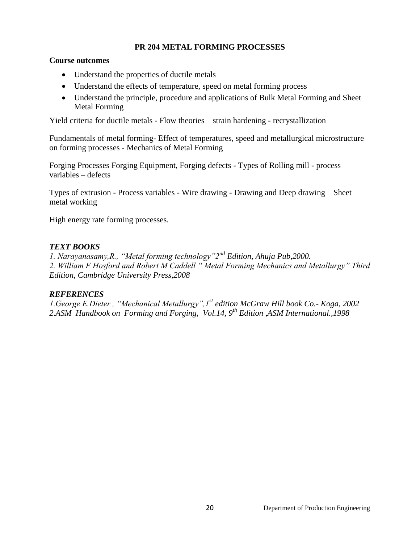#### **PR 204 METAL FORMING PROCESSES**

#### **Course outcomes**

- Understand the properties of ductile metals
- Understand the effects of temperature, speed on metal forming process
- Understand the principle, procedure and applications of Bulk Metal Forming and Sheet Metal Forming

Yield criteria for ductile metals - Flow theories – strain hardening - recrystallization

Fundamentals of metal forming- Effect of temperatures, speed and metallurgical microstructure on forming processes - Mechanics of Metal Forming

Forging Processes Forging Equipment, Forging defects - Types of Rolling mill - process variables – defects

Types of extrusion - Process variables - Wire drawing - Drawing and Deep drawing – Sheet metal working

High energy rate forming processes.

## *TEXT BOOKS*

*1. Narayanasamy,R., "Metal forming technology"2nd Edition, Ahuja Pub,2000. 2. William F Hosford and Robert M Caddell " Metal Forming Mechanics and Metallurgy" Third Edition, Cambridge University Press,2008*

## *REFERENCES*

*1.George E.Dieter , "Mechanical Metallurgy",1st edition McGraw Hill book Co.- Koga, 2002 2.ASM Handbook on Forming and Forging, Vol.14, 9th Edition ,ASM International.,1998*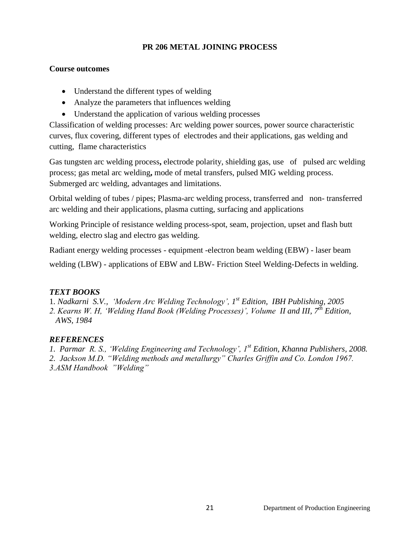## **PR 206 METAL JOINING PROCESS**

#### **Course outcomes**

- Understand the different types of welding
- Analyze the parameters that influences welding
- Understand the application of various welding processes

Classification of welding processes: Arc welding power sources, power source characteristic curves, flux covering, different types of electrodes and their applications, gas welding and cutting, flame characteristics

Gas tungsten arc welding process**,** electrode polarity, shielding gas, use of pulsed arc welding process; gas metal arc welding**,** mode of metal transfers, pulsed MIG welding process. Submerged arc welding, advantages and limitations.

Orbital welding of tubes / pipes; Plasma-arc welding process, transferred and non- transferred arc welding and their applications, plasma cutting, surfacing and applications

Working Principle of resistance welding process-spot, seam, projection, upset and flash butt welding, electro slag and electro gas welding.

Radiant energy welding processes - equipment -electron beam welding (EBW) - laser beam

welding (LBW) - applications of EBW and LBW- Friction Steel Welding-Defects in welding.

# *TEXT BOOKS*

1*. Nadkarni S.V., "Modern Arc Welding Technology", 1 st Edition, IBH Publishing, 2005*

*2. Kearns W. H, "Welding Hand Book (Welding Processes)", Volume II and III, 7th Edition, AWS, 1984*

# *REFERENCES*

*1. Parmar R. S., "Welding Engineering and Technology", 1st Edition, Khanna Publishers, 2008.*

*2. Jackson M.D. "Welding methods and metallurgy" Charles Griffin and Co. London 1967.* 

*3.ASM Handbook "Welding"*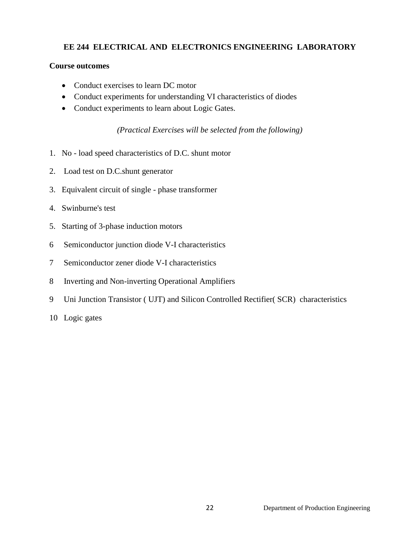## **EE 244 ELECTRICAL AND ELECTRONICS ENGINEERING LABORATORY**

#### **Course outcomes**

- Conduct exercises to learn DC motor
- Conduct experiments for understanding VI characteristics of diodes
- Conduct experiments to learn about Logic Gates.

*(Practical Exercises will be selected from the following)*

- 1. No load speed characteristics of D.C. shunt motor
- 2. Load test on D.C.shunt generator
- 3. Equivalent circuit of single phase transformer
- 4. Swinburne's test
- 5. Starting of 3-phase induction motors
- 6 Semiconductor junction diode V-I characteristics
- 7 Semiconductor zener diode V-I characteristics
- 8 Inverting and Non-inverting Operational Amplifiers
- 9 Uni Junction Transistor ( UJT) and Silicon Controlled Rectifier( SCR) characteristics
- 10 Logic gates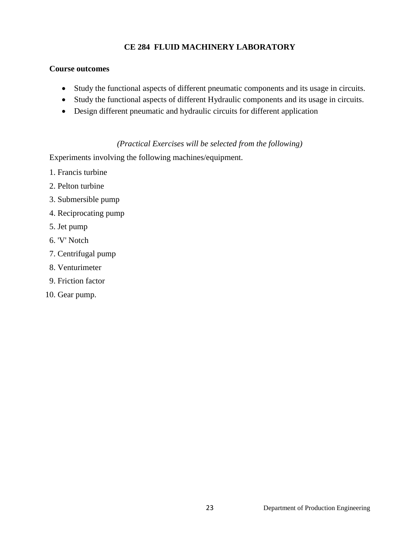## **CE 284 FLUID MACHINERY LABORATORY**

#### **Course outcomes**

- Study the functional aspects of different pneumatic components and its usage in circuits.
- Study the functional aspects of different Hydraulic components and its usage in circuits.
- Design different pneumatic and hydraulic circuits for different application

## *(Practical Exercises will be selected from the following)*

Experiments involving the following machines/equipment.

- 1. Francis turbine
- 2. Pelton turbine
- 3. Submersible pump
- 4. Reciprocating pump
- 5. Jet pump
- 6. 'V' Notch
- 7. Centrifugal pump
- 8. Venturimeter
- 9. Friction factor
- 10. Gear pump.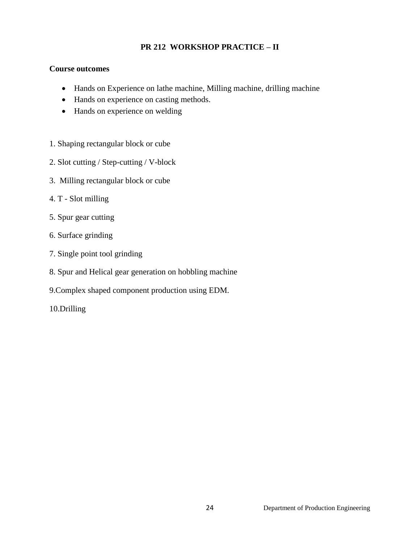# **PR 212 WORKSHOP PRACTICE – II**

#### **Course outcomes**

- Hands on Experience on lathe machine, Milling machine, drilling machine
- Hands on experience on casting methods.
- Hands on experience on welding
- 1. Shaping rectangular block or cube
- 2. Slot cutting / Step-cutting / V-block
- 3. Milling rectangular block or cube
- 4. T Slot milling
- 5. Spur gear cutting
- 6. Surface grinding
- 7. Single point tool grinding
- 8. Spur and Helical gear generation on hobbling machine
- 9.Complex shaped component production using EDM.
- 10.Drilling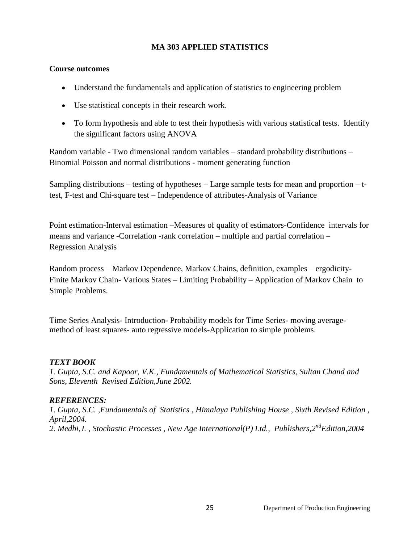#### **MA 303 APPLIED STATISTICS**

#### **Course outcomes**

- Understand the fundamentals and application of statistics to engineering problem
- Use statistical concepts in their research work.
- To form hypothesis and able to test their hypothesis with various statistical tests. Identify the significant factors using ANOVA

Random variable - Two dimensional random variables – standard probability distributions – Binomial Poisson and normal distributions - moment generating function

Sampling distributions – testing of hypotheses – Large sample tests for mean and proportion – ttest, F-test and Chi-square test – Independence of attributes-Analysis of Variance

Point estimation-Interval estimation –Measures of quality of estimators-Confidence intervals for means and variance -Correlation -rank correlation – multiple and partial correlation – Regression Analysis

Random process – Markov Dependence, Markov Chains, definition, examples – ergodicity-Finite Markov Chain- Various States – Limiting Probability – Application of Markov Chain to Simple Problems.

Time Series Analysis- Introduction- Probability models for Time Series- moving averagemethod of least squares- auto regressive models-Application to simple problems.

## *TEXT BOOK*

*1. Gupta, S.C. and Kapoor, V.K., Fundamentals of Mathematical Statistics, Sultan Chand and Sons, Eleventh Revised Edition,June 2002.*

## *REFERENCES:*

*1. Gupta, S.C. ,Fundamentals of Statistics , Himalaya Publishing House , Sixth Revised Edition , April,2004. 2. Medhi,J. , Stochastic Processes , New Age International(P) Ltd., Publishers,2ndEdition,2004*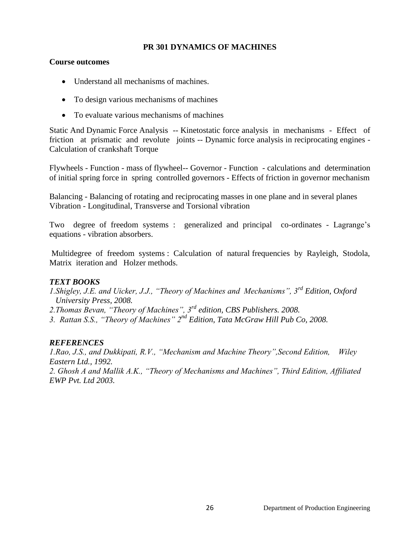#### **PR 301 DYNAMICS OF MACHINES**

#### **Course outcomes**

- Understand all mechanisms of machines.
- To design various mechanisms of machines
- To evaluate various mechanisms of machines

Static And Dynamic Force Analysis -- Kinetostatic force analysis in mechanisms - Effect of friction at prismatic and revolute joints -- Dynamic force analysis in reciprocating engines - Calculation of crankshaft Torque

Flywheels - Function - mass of flywheel-- Governor - Function - calculations and determination of initial spring force in spring controlled governors - Effects of friction in governor mechanism

Balancing - Balancing of rotating and reciprocating masses in one plane and in several planes Vibration - Longitudinal, Transverse and Torsional vibration

Two degree of freedom systems : generalized and principal co-ordinates - Lagrange's equations - vibration absorbers.

Multidegree of freedom systems : Calculation of natural frequencies by Rayleigh, Stodola, Matrix iteration and Holzer methods.

#### *TEXT BOOKS*

- *1.Shigley, J.E. and Uicker, J.J., "Theory of Machines and Mechanisms", 3rd Edition, Oxford University Press, 2008.*
- *2.Thomas Bevan, "Theory of Machines", 3rd edition, CBS Publishers. 2008.*
- *3. Rattan S.S., "Theory of Machines" 2nd Edition, Tata McGraw Hill Pub Co, 2008.*

#### *REFERENCES*

*1.Rao, J.S., and Dukkipati, R.V., "Mechanism and Machine Theory",Second Edition, Wiley Eastern Ltd., 1992.*

*2. Ghosh A and Mallik A.K., "Theory of Mechanisms and Machines", Third Edition, Affiliated EWP Pvt. Ltd 2003.*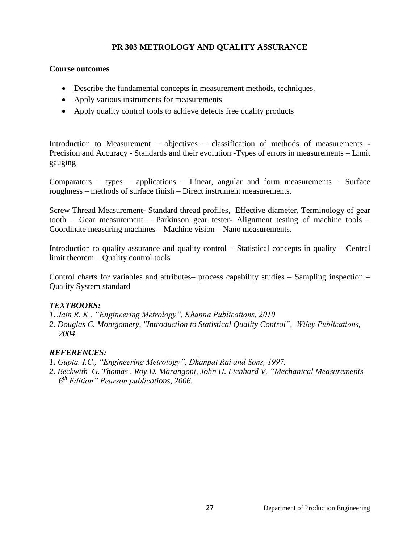## **PR 303 METROLOGY AND QUALITY ASSURANCE**

#### **Course outcomes**

- Describe the fundamental concepts in measurement methods, techniques.
- Apply various instruments for measurements
- Apply quality control tools to achieve defects free quality products

Introduction to Measurement – objectives – classification of methods of measurements - Precision and Accuracy - Standards and their evolution -Types of errors in measurements – Limit gauging

Comparators – types – applications – Linear, angular and form measurements – Surface roughness – methods of surface finish – Direct instrument measurements.

Screw Thread Measurement- Standard thread profiles, Effective diameter, Terminology of gear tooth – Gear measurement – Parkinson gear tester- Alignment testing of machine tools – Coordinate measuring machines – Machine vision – Nano measurements.

Introduction to quality assurance and quality control – Statistical concepts in quality – Central limit theorem – Quality control tools

Control charts for variables and attributes– process capability studies – Sampling inspection – Quality System standard

## *TEXTBOOKS:*

*1. Jain R. K., "Engineering Metrology", Khanna Publications, 2010*

*2. Douglas C. Montgomery, "Introduction to Statistical Quality Control", Wiley Publications, 2004.*

## *REFERENCES:*

- *1. Gupta. I.C., "Engineering Metrology", Dhanpat Rai and Sons, 1997.*
- *2. Beckwith G. [Thomas ,](http://productsearch.barnesandnoble.com/search/results.aspx?store=book&ATH=Thomas+G.+Beckwith) [Roy D. Marangoni,](http://productsearch.barnesandnoble.com/search/results.aspx?store=book&ATH=Roy+D.+Marangoni) [John H. Lienhard V,](http://productsearch.barnesandnoble.com/search/results.aspx?store=book&ATH=John+H.+Lienhard+V) "Mechanical Measurements 6 th Edition" Pearson publications, 2006.*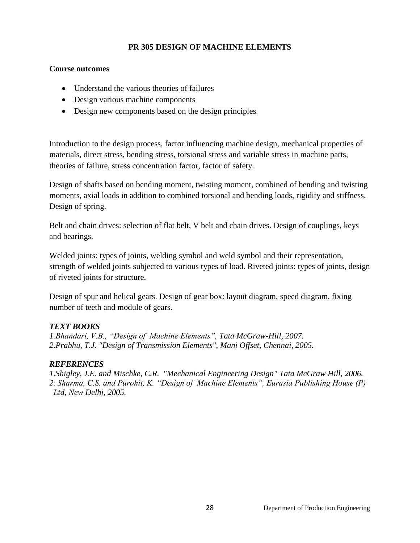## **PR 305 DESIGN OF MACHINE ELEMENTS**

#### **Course outcomes**

- Understand the various theories of failures
- Design various machine components
- Design new components based on the design principles

Introduction to the design process, factor influencing machine design, mechanical properties of materials, direct stress, bending stress, torsional stress and variable stress in machine parts, theories of failure, stress concentration factor, factor of safety.

Design of shafts based on bending moment, twisting moment, combined of bending and twisting moments, axial loads in addition to combined torsional and bending loads, rigidity and stiffness. Design of spring.

Belt and chain drives: selection of flat belt, V belt and chain drives. Design of couplings, keys and bearings.

Welded joints: types of joints, welding symbol and weld symbol and their representation, strength of welded joints subjected to various types of load. Riveted joints: types of joints, design of riveted joints for structure.

Design of spur and helical gears. Design of gear box: layout diagram, speed diagram, fixing number of teeth and module of gears.

## *TEXT BOOKS*

*1.Bhandari, V.B., "Design of Machine Elements", Tata McGraw-Hill, 2007. 2.Prabhu, T.J. "Design of Transmission Elements", Mani Offset, Chennai, 2005.*

## *REFERENCES*

*1.Shigley, J.E. and Mischke, C.R. "Mechanical Engineering Design" Tata McGraw Hill, 2006. 2. Sharma, C.S. and Purohit, K. "Design of Machine Elements", Eurasia Publishing House (P) Ltd, New Delhi, 2005.*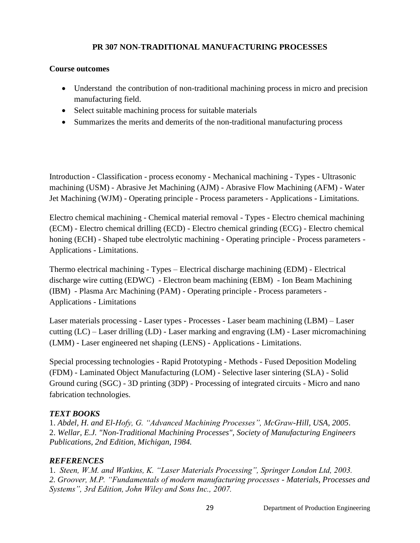## **PR 307 NON-TRADITIONAL MANUFACTURING PROCESSES**

#### **Course outcomes**

- Understand the contribution of non-traditional machining process in micro and precision manufacturing field.
- Select suitable machining process for suitable materials
- Summarizes the merits and demerits of the non-traditional manufacturing process

Introduction - Classification - process economy - Mechanical machining - Types - Ultrasonic machining (USM) - Abrasive Jet Machining (AJM) - Abrasive Flow Machining (AFM) - Water Jet Machining (WJM) - Operating principle - Process parameters - Applications - Limitations.

Electro chemical machining - Chemical material removal - Types - Electro chemical machining (ECM) - Electro chemical drilling (ECD) - Electro chemical grinding (ECG) - Electro chemical honing (ECH) - Shaped tube electrolytic machining - Operating principle - Process parameters - Applications - Limitations.

Thermo electrical machining - Types – Electrical discharge machining (EDM) - Electrical discharge wire cutting (EDWC) - Electron beam machining (EBM) - Ion Beam Machining (IBM) - Plasma Arc Machining (PAM) - Operating principle - Process parameters - Applications - Limitations

Laser materials processing - Laser types - Processes - Laser beam machining (LBM) – Laser cutting (LC) – Laser drilling (LD) - Laser marking and engraving (LM) - Laser micromachining (LMM) - Laser engineered net shaping (LENS) - Applications - Limitations.

Special processing technologies - Rapid Prototyping - Methods - Fused Deposition Modeling (FDM) - Laminated Object Manufacturing (LOM) - Selective laser sintering (SLA) - Solid Ground curing (SGC) - 3D printing (3DP) - Processing of integrated circuits - Micro and nano fabrication technologies.

## *TEXT BOOKS*

1. *Abdel, H. and El-Hofy, G. "Advanced Machining Processes", McGraw-Hill, USA, 2005*. 2. *Wellar, E.J. "Non-Traditional Machining Processes", Society of Manufacturing Engineers Publications, 2nd Edition, Michigan, 1984.*

## *REFERENCES*

1. *Steen, W.M. and Watkins, K. "Laser Materials Processing", Springer London Ltd, 2003. 2. Groover, M.P. "Fundamentals of modern manufacturing processes - Materials, Processes and Systems", 3rd Edition, John Wiley and Sons Inc., 2007.*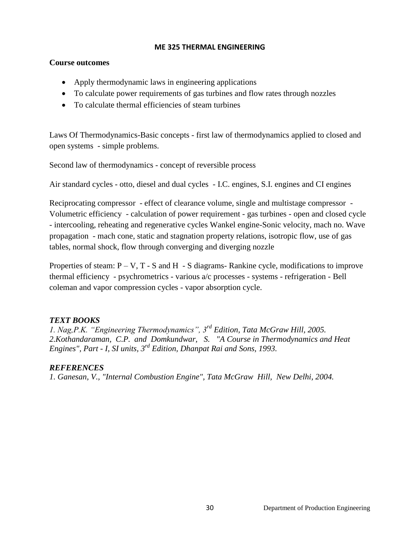#### **ME 325 THERMAL ENGINEERING**

#### **Course outcomes**

- Apply thermodynamic laws in engineering applications
- To calculate power requirements of gas turbines and flow rates through nozzles
- To calculate thermal efficiencies of steam turbines

Laws Of Thermodynamics-Basic concepts - first law of thermodynamics applied to closed and open systems - simple problems.

Second law of thermodynamics - concept of reversible process

Air standard cycles - otto, diesel and dual cycles - I.C. engines, S.I. engines and CI engines

Reciprocating compressor - effect of clearance volume, single and multistage compressor - Volumetric efficiency - calculation of power requirement - gas turbines - open and closed cycle - intercooling, reheating and regenerative cycles Wankel engine-Sonic velocity, mach no. Wave propagation - mach cone, static and stagnation property relations, isotropic flow, use of gas tables, normal shock, flow through converging and diverging nozzle

Properties of steam:  $P - V$ ,  $T - S$  and  $H - S$  diagrams- Rankine cycle, modifications to improve thermal efficiency - psychrometrics - various a/c processes - systems - refrigeration - Bell coleman and vapor compression cycles - vapor absorption cycle.

## *TEXT BOOKS*

*1. Nag,P.K. "Engineering Thermodynamics", 3rd Edition, Tata McGraw Hill, 2005. 2.Kothandaraman, C.P. and Domkundwar, S. "A Course in Thermodynamics and Heat Engines", Part - I, SI units, 3rd Edition, Dhanpat Rai and Sons, 1993.*

## *REFERENCES*

*1. Ganesan, V., "Internal Combustion Engine", Tata McGraw Hill, New Delhi, 2004.*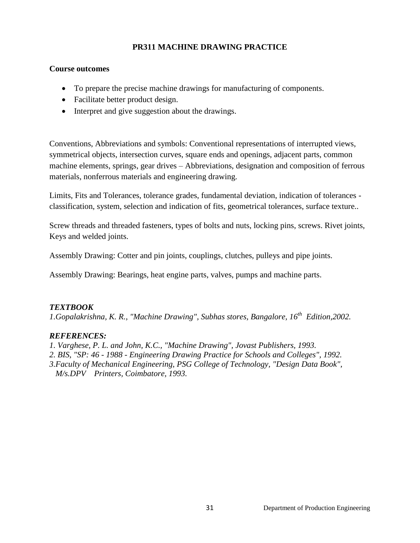## **PR311 MACHINE DRAWING PRACTICE**

#### **Course outcomes**

- To prepare the precise machine drawings for manufacturing of components.
- Facilitate better product design.
- Interpret and give suggestion about the drawings.

Conventions, Abbreviations and symbols: Conventional representations of interrupted views, symmetrical objects, intersection curves, square ends and openings, adjacent parts, common machine elements, springs, gear drives – Abbreviations, designation and composition of ferrous materials, nonferrous materials and engineering drawing.

Limits, Fits and Tolerances, tolerance grades, fundamental deviation, indication of tolerances classification, system, selection and indication of fits, geometrical tolerances, surface texture..

Screw threads and threaded fasteners, types of bolts and nuts, locking pins, screws. Rivet joints, Keys and welded joints.

Assembly Drawing: Cotter and pin joints, couplings, clutches, pulleys and pipe joints.

Assembly Drawing: Bearings, heat engine parts, valves, pumps and machine parts.

## *TEXTBOOK*

*1.Gopalakrishna, K. R., "Machine Drawing", Subhas stores, Bangalore, 16th Edition,2002.*

## *REFERENCES:*

*1. Varghese, P. L. and John, K.C., "Machine Drawing", Jovast Publishers, 1993.*

*2. BIS, "SP: 46 - 1988 - Engineering Drawing Practice for Schools and Colleges", 1992.*

*3.Faculty of Mechanical Engineering, PSG College of Technology, "Design Data Book",* 

 *M/s.DPV Printers, Coimbatore, 1993.*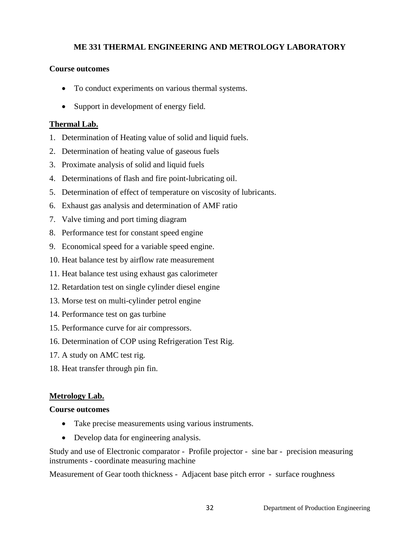## **ME 331 THERMAL ENGINEERING AND METROLOGY LABORATORY**

#### **Course outcomes**

- To conduct experiments on various thermal systems.
- Support in development of energy field.

#### **Thermal Lab.**

- 1. Determination of Heating value of solid and liquid fuels.
- 2. Determination of heating value of gaseous fuels
- 3. Proximate analysis of solid and liquid fuels
- 4. Determinations of flash and fire point-lubricating oil.
- 5. Determination of effect of temperature on viscosity of lubricants.
- 6. Exhaust gas analysis and determination of AMF ratio
- 7. Valve timing and port timing diagram
- 8. Performance test for constant speed engine
- 9. Economical speed for a variable speed engine.
- 10. Heat balance test by airflow rate measurement
- 11. Heat balance test using exhaust gas calorimeter
- 12. Retardation test on single cylinder diesel engine
- 13. Morse test on multi-cylinder petrol engine
- 14. Performance test on gas turbine
- 15. Performance curve for air compressors.
- 16. Determination of COP using Refrigeration Test Rig.
- 17. A study on AMC test rig.
- 18. Heat transfer through pin fin.

## **Metrology Lab.**

## **Course outcomes**

- Take precise measurements using various instruments.
- Develop data for engineering analysis.

Study and use of Electronic comparator - Profile projector - sine bar - precision measuring instruments - coordinate measuring machine

Measurement of Gear tooth thickness - Adjacent base pitch error - surface roughness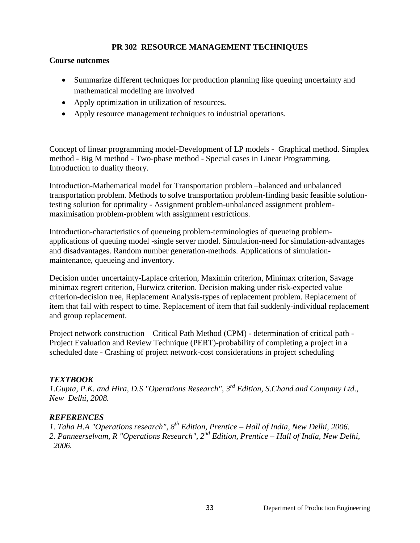## **PR 302 RESOURCE MANAGEMENT TECHNIQUES**

#### **Course outcomes**

- Summarize different techniques for production planning like queuing uncertainty and mathematical modeling are involved
- Apply optimization in utilization of resources.
- Apply resource management techniques to industrial operations.

Concept of linear programming model-Development of LP models - Graphical method. Simplex method - Big M method - Two-phase method - Special cases in Linear Programming. Introduction to duality theory.

Introduction-Mathematical model for Transportation problem –balanced and unbalanced transportation problem. Methods to solve transportation problem-finding basic feasible solutiontesting solution for optimality - Assignment problem-unbalanced assignment problemmaximisation problem-problem with assignment restrictions.

Introduction-characteristics of queueing problem-terminologies of queueing problemapplications of queuing model -single server model. Simulation-need for simulation-advantages and disadvantages. Random number generation-methods. Applications of simulationmaintenance, queueing and inventory.

Decision under uncertainty-Laplace criterion, Maximin criterion, Minimax criterion, Savage minimax regrert criterion, Hurwicz criterion. Decision making under risk-expected value criterion-decision tree, Replacement Analysis-types of replacement problem. Replacement of item that fail with respect to time. Replacement of item that fail suddenly-individual replacement and group replacement.

Project network construction – Critical Path Method (CPM) - determination of critical path - Project Evaluation and Review Technique (PERT)-probability of completing a project in a scheduled date - Crashing of project network-cost considerations in project scheduling

## *TEXTBOOK*

*1.Gupta, P.K. and Hira, D.S "Operations Research", 3rd Edition, S.Chand and Company Ltd., New Delhi, 2008.*

## *REFERENCES*

*1. Taha H.A "Operations research", 8th Edition, Prentice – Hall of India, New Delhi, 2006. 2. Panneerselvam, R "Operations Research", 2nd Edition, Prentice – Hall of India, New Delhi, 2006.*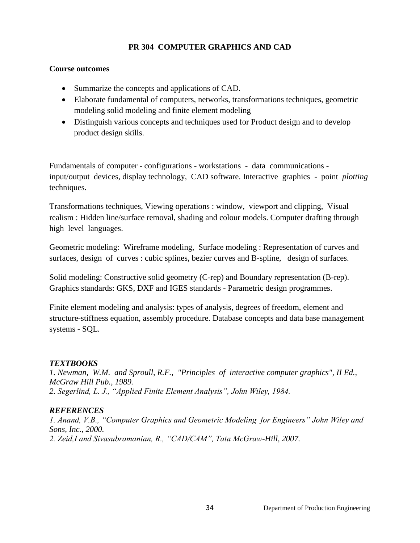## **PR 304 COMPUTER GRAPHICS AND CAD**

#### **Course outcomes**

- Summarize the concepts and applications of CAD.
- Elaborate fundamental of computers, networks, transformations techniques, geometric modeling solid modeling and finite element modeling
- Distinguish various concepts and techniques used for Product design and to develop product design skills.

Fundamentals of computer - configurations - workstations - data communications input/output devices, display technology, CAD software. Interactive graphics - point *plotting* techniques.

Transformations techniques, Viewing operations : window, viewport and clipping, Visual realism : Hidden line/surface removal, shading and colour models. Computer drafting through high level languages.

Geometric modeling: Wireframe modeling, Surface modeling : Representation of curves and surfaces, design of curves : cubic splines, bezier curves and B-spline, design of surfaces.

Solid modeling: Constructive solid geometry (C-rep) and Boundary representation (B-rep). Graphics standards: GKS, DXF and IGES standards - Parametric design programmes.

Finite element modeling and analysis: types of analysis, degrees of freedom, element and structure-stiffness equation, assembly procedure. Database concepts and data base management systems - SQL.

## *TEXTBOOKS*

*1. Newman, W.M. and Sproull, R.F., "Principles of interactive computer graphics", II Ed., McGraw Hill Pub., 1989. 2. Segerlind, L. J., "Applied Finite Element Analysis", John Wiley, 1984.*

## *REFERENCES*

*1. Anand, V.B., "Computer Graphics and Geometric Modeling for Engineers" John Wiley and Sons, Inc., 2000. 2. Zeid,I and Sivasubramanian, R., "CAD/CAM", Tata McGraw-Hill, 2007.*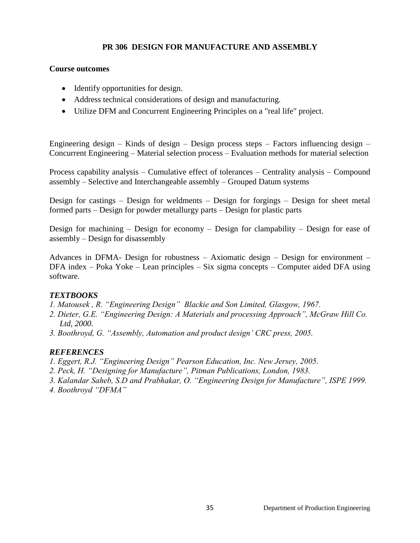#### **PR 306 DESIGN FOR MANUFACTURE AND ASSEMBLY**

#### **Course outcomes**

- Identify opportunities for design.
- Address technical considerations of design and manufacturing.
- Utilize DFM and Concurrent Engineering Principles on a "real life" project.

Engineering design – Kinds of design – Design process steps – Factors influencing design – Concurrent Engineering – Material selection process – Evaluation methods for material selection

Process capability analysis – Cumulative effect of tolerances – Centrality analysis – Compound assembly – Selective and Interchangeable assembly – Grouped Datum systems

Design for castings – Design for weldments – Design for forgings – Design for sheet metal formed parts – Design for powder metallurgy parts – Design for plastic parts

Design for machining – Design for economy – Design for clampability – Design for ease of assembly – Design for disassembly

Advances in DFMA- Design for robustness – Axiomatic design – Design for environment – DFA index – Poka Yoke – Lean principles – Six sigma concepts – Computer aided DFA using software.

#### *TEXTBOOKS*

- *1. Matousek , R. "Engineering Design" Blackie and Son Limited, Glasgow, 1967.*
- *2. Dieter, G.E. "Engineering Design: A Materials and processing Approach", McGraw Hill Co. Ltd, 2000.*
- *3. Boothroyd, G. "Assembly, Automation and product design" CRC press, 2005.*

#### *REFERENCES*

- *1. Eggert, R.J. "Engineering Design" Pearson Education, Inc. New Jersey, 2005.*
- *2. Peck, H. "Designing for Manufacture", Pitman Publications, London, 1983.*
- *3. Kalandar Saheb, S.D and Prabhakar, O. "Engineering Design for Manufacture", ISPE 1999. 4. Boothroyd "DFMA"*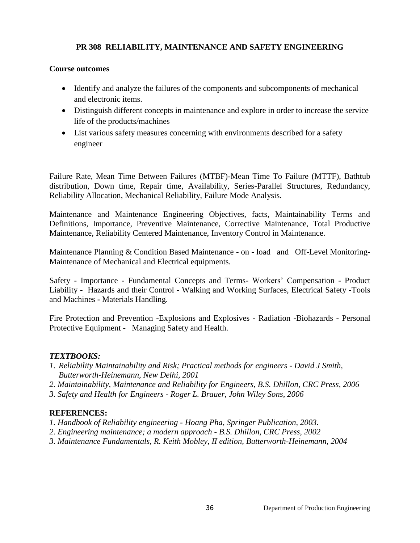## **PR 308 RELIABILITY, MAINTENANCE AND SAFETY ENGINEERING**

#### **Course outcomes**

- Identify and analyze the failures of the components and subcomponents of mechanical and electronic items.
- Distinguish different concepts in maintenance and explore in order to increase the service life of the products/machines
- List various safety measures concerning with environments described for a safety engineer

Failure Rate, Mean Time Between Failures (MTBF)-Mean Time To Failure (MTTF), Bathtub distribution, Down time, Repair time, Availability, Series-Parallel Structures, Redundancy, Reliability Allocation, Mechanical Reliability, Failure Mode Analysis.

Maintenance and Maintenance Engineering Objectives, facts, Maintainability Terms and Definitions, Importance, Preventive Maintenance, Corrective Maintenance, Total Productive Maintenance, Reliability Centered Maintenance, Inventory Control in Maintenance.

Maintenance Planning & Condition Based Maintenance - on - load and Off-Level Monitoring-Maintenance of Mechanical and Electrical equipments.

Safety - Importance - Fundamental Concepts and Terms- Workers' Compensation - Product Liability - Hazards and their Control - Walking and Working Surfaces, Electrical Safety **-**Tools and Machines **-** Materials Handling.

Fire Protection and Prevention **-**Explosions and Explosives **-** Radiation **-**Biohazards **-** Personal Protective Equipment **-** Managing Safety and Health.

## *TEXTBOOKS:*

- *1. Reliability Maintainability and Risk; Practical methods for engineers - David J Smith, Butterworth-Heinemann, New Delhi, 2001*
- *2. Maintainability, Maintenance and Reliability for Engineers, B.S. Dhillon, CRC Press, 2006*
- *3. Safety and Health for Engineers - Roger L. Brauer, John Wiley Sons, 2006*

## **REFERENCES:**

- *1. Handbook of Reliability engineering - Hoang Pha, Springer Publication, 2003.*
- *2. Engineering maintenance; a modern approach - B.S. Dhillon, CRC Press, 2002*
- *3. Maintenance Fundamentals, R. Keith Mobley, II edition, Butterworth-Heinemann, 2004*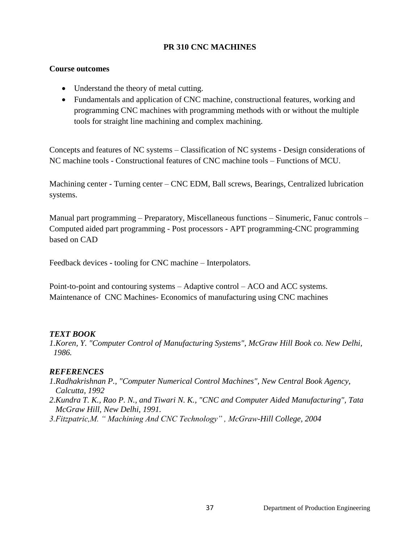#### **PR 310 CNC MACHINES**

#### **Course outcomes**

- Understand the theory of metal cutting.
- Fundamentals and application of CNC machine, constructional features, working and programming CNC machines with programming methods with or without the multiple tools for straight line machining and complex machining.

Concepts and features of NC systems – Classification of NC systems - Design considerations of NC machine tools - Constructional features of CNC machine tools – Functions of MCU.

Machining center - Turning center – CNC EDM, Ball screws, Bearings, Centralized lubrication systems.

Manual part programming – Preparatory, Miscellaneous functions – Sinumeric, Fanuc controls – Computed aided part programming - Post processors - APT programming-CNC programming based on CAD

Feedback devices **-** tooling for CNC machine – Interpolators.

Point-to-point and contouring systems – Adaptive control – ACO and ACC systems. Maintenance of CNC Machines- Economics of manufacturing using CNC machines

### *TEXT BOOK*

*1.Koren, Y. "Computer Control of Manufacturing Systems", McGraw Hill Book co. New Delhi, 1986.* 

- *1.Radhakrishnan P., "Computer Numerical Control Machines", New Central Book Agency, Calcutta, 1992*
- *2.Kundra T. K., Rao P. N., and Tiwari N. K., "CNC and Computer Aided Manufacturing", Tata McGraw Hill, New Delhi, 1991.*
- *3.Fitzpatric,M. " Machining And CNC Technology" , McGraw-Hill College, 2004*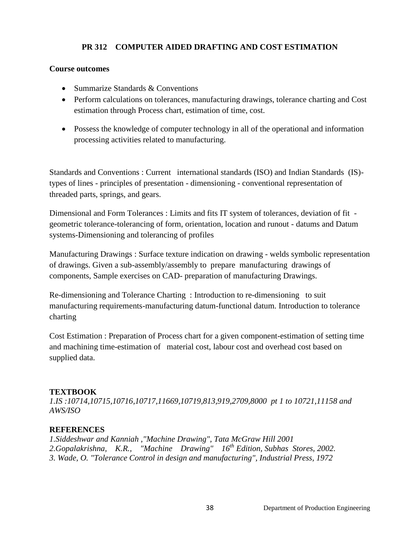# **PR 312 COMPUTER AIDED DRAFTING AND COST ESTIMATION**

#### **Course outcomes**

- Summarize Standards & Conventions
- Perform calculations on tolerances, manufacturing drawings, tolerance charting and Cost estimation through Process chart, estimation of time, cost.
- Possess the knowledge of computer technology in all of the operational and information processing activities related to manufacturing.

Standards and Conventions : Current international standards (ISO) and Indian Standards (IS) types of lines - principles of presentation - dimensioning - conventional representation of threaded parts, springs, and gears.

Dimensional and Form Tolerances : Limits and fits IT system of tolerances, deviation of fit geometric tolerance-tolerancing of form, orientation, location and runout - datums and Datum systems-Dimensioning and tolerancing of profiles

Manufacturing Drawings : Surface texture indication on drawing - welds symbolic representation of drawings. Given a sub-assembly/assembly to prepare manufacturing drawings of components, Sample exercises on CAD- preparation of manufacturing Drawings.

Re-dimensioning and Tolerance Charting : Introduction to re-dimensioning to suit manufacturing requirements-manufacturing datum-functional datum. Introduction to tolerance charting

Cost Estimation : Preparation of Process chart for a given component-estimation of setting time and machining time-estimation of material cost, labour cost and overhead cost based on supplied data.

### **TEXTBOOK**

*1.IS :10714,10715,10716,10717,11669,10719,813,919,2709,8000 pt 1 to 10721,11158 and AWS/ISO*

### **REFERENCES**

*1.Siddeshwar and Kanniah ,"Machine Drawing", Tata McGraw Hill 2001 2.Gopalakrishna, K.R., "Machine Drawing" 16th Edition, Subhas Stores, 2002. 3. Wade, O. "Tolerance Control in design and manufacturing", Industrial Press, 1972*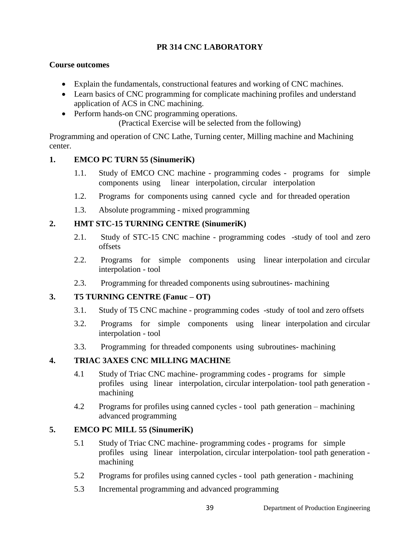# **PR 314 CNC LABORATORY**

#### **Course outcomes**

- Explain the fundamentals, constructional features and working of CNC machines.
- Learn basics of CNC programming for complicate machining profiles and understand application of ACS in CNC machining.
- Perform hands-on CNC programming operations.

(Practical Exercise will be selected from the following)

Programming and operation of CNC Lathe, Turning center, Milling machine and Machining center.

#### **1. EMCO PC TURN 55 (SinumeriK)**

- 1.1. Study of EMCO CNC machine programming codes programs for simple components using linear interpolation, circular interpolation
- 1.2. Programs for components using canned cycle and for threaded operation
- 1.3. Absolute programming mixed programming

#### **2. HMT STC-15 TURNING CENTRE (SinumeriK)**

- 2.1. Study of STC-15 CNC machine programming codes -study of tool and zero offsets
- 2.2. Programs for simple components using linear interpolation and circular interpolation - tool
- 2.3. Programming for threaded components using subroutines- machining

### **3. T5 TURNING CENTRE (Fanuc – OT)**

- 3.1. Study of T5 CNC machine programming codes -study of tool and zero offsets
- 3.2. Programs for simple components using linear interpolation and circular interpolation - tool
- 3.3. Programming for threaded components using subroutines- machining

### **4. TRIAC 3AXES CNC MILLING MACHINE**

- 4.1 Study of Triac CNC machine- programming codes programs for simple profiles using linear interpolation, circular interpolation- tool path generation machining
- 4.2 Programs for profiles using canned cycles tool path generation machining advanced programming

### **5. EMCO PC MILL 55 (SinumeriK)**

- 5.1 Study of Triac CNC machine- programming codes programs for simple profiles using linear interpolation, circular interpolation- tool path generation machining
- 5.2 Programs for profiles using canned cycles tool path generation machining
- 5.3 Incremental programming and advanced programming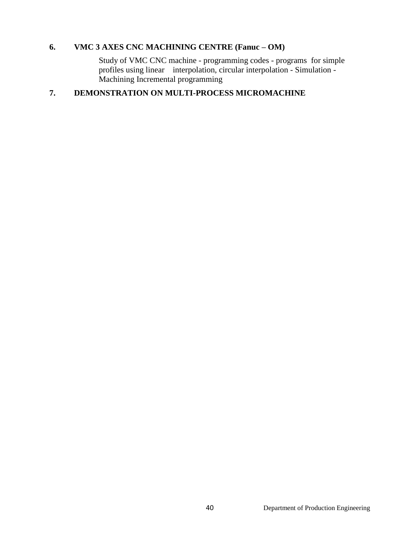# **6. VMC 3 AXES CNC MACHINING CENTRE (Fanuc – OM)**

Study of VMC CNC machine - programming codes - programs for simple profiles using linear interpolation, circular interpolation - Simulation - Machining Incremental programming

# **7. DEMONSTRATION ON MULTI-PROCESS MICROMACHINE**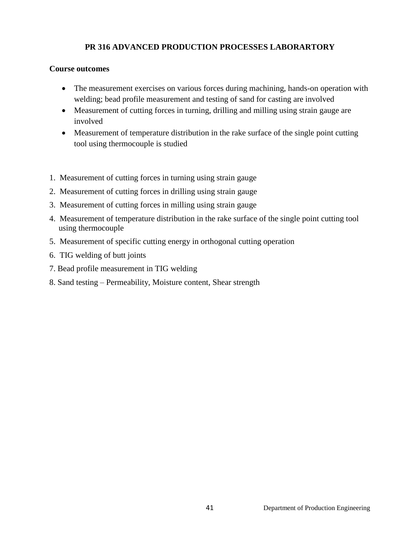# **PR 316 ADVANCED PRODUCTION PROCESSES LABORARTORY**

#### **Course outcomes**

- The measurement exercises on various forces during machining, hands-on operation with welding; bead profile measurement and testing of sand for casting are involved
- Measurement of cutting forces in turning, drilling and milling using strain gauge are involved
- Measurement of temperature distribution in the rake surface of the single point cutting tool using thermocouple is studied
- 1. Measurement of cutting forces in turning using strain gauge
- 2. Measurement of cutting forces in drilling using strain gauge
- 3. Measurement of cutting forces in milling using strain gauge
- 4. Measurement of temperature distribution in the rake surface of the single point cutting tool using thermocouple
- 5. Measurement of specific cutting energy in orthogonal cutting operation
- 6. TIG welding of butt joints
- 7. Bead profile measurement in TIG welding
- 8. Sand testing Permeability, Moisture content, Shear strength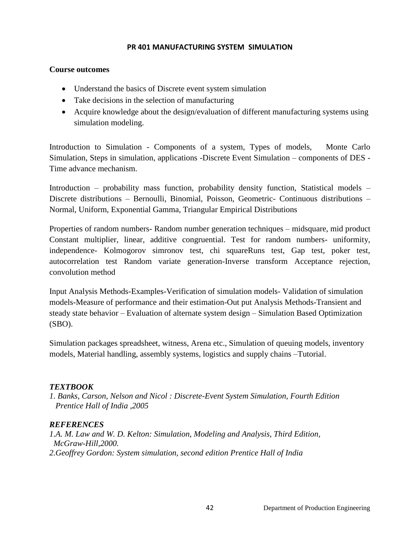#### **PR 401 MANUFACTURING SYSTEM SIMULATION**

#### **Course outcomes**

- Understand the basics of Discrete event system simulation
- Take decisions in the selection of manufacturing
- Acquire knowledge about the design/evaluation of different manufacturing systems using simulation modeling.

Introduction to Simulation - Components of a system, Types of models, Monte Carlo Simulation, Steps in simulation, applications -Discrete Event Simulation – components of DES - Time advance mechanism.

Introduction – probability mass function, probability density function, Statistical models – Discrete distributions – Bernoulli, Binomial, Poisson, Geometric- Continuous distributions – Normal, Uniform, Exponential Gamma, Triangular Empirical Distributions

Properties of random numbers- Random number generation techniques – midsquare, mid product Constant multiplier, linear, additive congruential. Test for random numbers- uniformity, independence- Kolmogorov simronov test, chi squareRuns test, Gap test, poker test, autocorrelation test Random variate generation-Inverse transform Acceptance rejection, convolution method

Input Analysis Methods-Examples-Verification of simulation models- Validation of simulation models-Measure of performance and their estimation-Out put Analysis Methods-Transient and steady state behavior – Evaluation of alternate system design – Simulation Based Optimization (SBO).

Simulation packages spreadsheet, witness, Arena etc., Simulation of queuing models, inventory models, Material handling, assembly systems, logistics and supply chains –Tutorial.

### *TEXTBOOK*

*1. Banks, Carson, Nelson and Nicol : Discrete-Event System Simulation, Fourth Edition Prentice Hall of India ,2005*

### *REFERENCES*

*1.A. M. Law and W. D. Kelton: Simulation, Modeling and Analysis, Third Edition, McGraw-Hill,2000. 2.Geoffrey Gordon: System simulation, second edition Prentice Hall of India*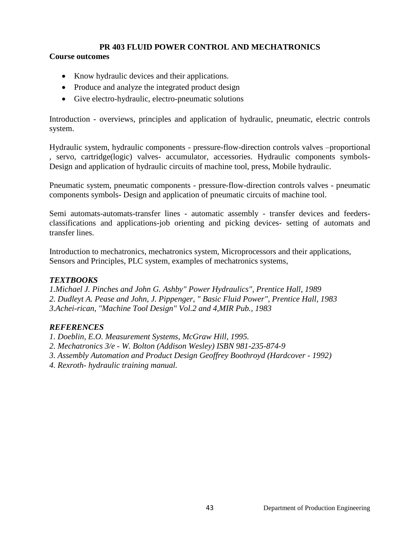# **PR 403 FLUID POWER CONTROL AND MECHATRONICS**

#### **Course outcomes**

- Know hydraulic devices and their applications.
- Produce and analyze the integrated product design
- Give electro-hydraulic, electro-pneumatic solutions

Introduction - overviews, principles and application of hydraulic, pneumatic, electric controls system.

Hydraulic system, hydraulic components - pressure-flow-direction controls valves –proportional , servo, cartridge(logic) valves- accumulator, accessories. Hydraulic components symbols-Design and application of hydraulic circuits of machine tool, press, Mobile hydraulic.

Pneumatic system, pneumatic components - pressure-flow-direction controls valves - pneumatic components symbols- Design and application of pneumatic circuits of machine tool.

Semi automats-automats-transfer lines - automatic assembly - transfer devices and feedersclassifications and applications-job orienting and picking devices- setting of automats and transfer lines.

Introduction to mechatronics, mechatronics system, Microprocessors and their applications, Sensors and Principles, PLC system, examples of mechatronics systems,

### *TEXTBOOKS*

*1.Michael J. Pinches and John G. Ashby" Power Hydraulics", Prentice Hall, 1989 2. Dudleyt A. Pease and John, J. Pippenger, " Basic Fluid Power", Prentice Hall, 1983 3.Achei-rican, "Machine Tool Design" Vol.2 and 4,MIR Pub., 1983*

### *REFERENCES*

*1. Doeblin, E.O. Measurement Systems, McGraw Hill, 1995.*

*2. Mechatronics 3/e - W. Bolton (Addison Wesley) ISBN 981-235-874-9*

- *3. Assembly Automation and Product Design [Geoffrey Boothroyd](http://www.flipkart.com/geoffrey-boothroyd/) (Hardcover - 1992)*
- *4. Rexroth- hydraulic training manual.*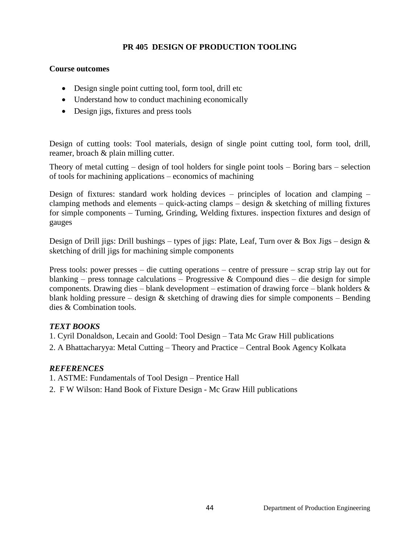# **PR 405 DESIGN OF PRODUCTION TOOLING**

#### **Course outcomes**

- Design single point cutting tool, form tool, drill etc
- Understand how to conduct machining economically
- Design jigs, fixtures and press tools

Design of cutting tools: Tool materials, design of single point cutting tool, form tool, drill, reamer, broach & plain milling cutter.

Theory of metal cutting – design of tool holders for single point tools – Boring bars – selection of tools for machining applications – economics of machining

Design of fixtures: standard work holding devices – principles of location and clamping – clamping methods and elements – quick-acting clamps – design  $&$  sketching of milling fixtures for simple components – Turning, Grinding, Welding fixtures. inspection fixtures and design of gauges

Design of Drill jigs: Drill bushings – types of jigs: Plate, Leaf, Turn over & Box Jigs – design & sketching of drill jigs for machining simple components

Press tools: power presses – die cutting operations – centre of pressure – scrap strip lay out for blanking – press tonnage calculations – Progressive & Compound dies – die design for simple components. Drawing dies – blank development – estimation of drawing force – blank holders & blank holding pressure – design  $\&$  sketching of drawing dies for simple components – Bending dies & Combination tools.

### *TEXT BOOKS*

1. Cyril Donaldson, Lecain and Goold: Tool Design – Tata Mc Graw Hill publications

2. A Bhattacharyya: Metal Cutting – Theory and Practice – Central Book Agency Kolkata

#### *REFERENCES*

1. ASTME: Fundamentals of Tool Design – Prentice Hall

2. F W Wilson: Hand Book of Fixture Design - Mc Graw Hill publications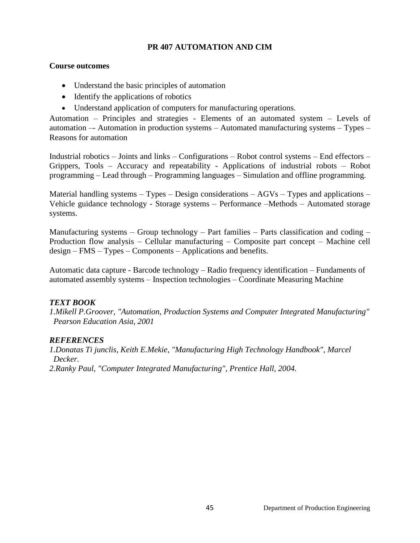#### **PR 407 AUTOMATION AND CIM**

#### **Course outcomes**

- Understand the basic principles of automation
- Identify the applications of robotics
- Understand application of computers for manufacturing operations.

Automation – Principles and strategies - Elements of an automated system – Levels of automation –- Automation in production systems – Automated manufacturing systems – Types – Reasons for automation

Industrial robotics – Joints and links – Configurations – Robot control systems – End effectors – Grippers, Tools – Accuracy and repeatability - Applications of industrial robots – Robot programming – Lead through – Programming languages – Simulation and offline programming.

Material handling systems  $-$  Types  $-$  Design considerations  $-$  AGVs  $-$  Types and applications  $-$ Vehicle guidance technology - Storage systems – Performance –Methods – Automated storage systems.

Manufacturing systems – Group technology – Part families – Parts classification and coding – Production flow analysis – Cellular manufacturing – Composite part concept – Machine cell design – FMS – Types – Components – Applications and benefits.

Automatic data capture - Barcode technology – Radio frequency identification – Fundaments of automated assembly systems – Inspection technologies – Coordinate Measuring Machine

### *TEXT BOOK*

*1.Mikell P.Groover, "Automation, Production Systems and Computer Integrated Manufacturing" Pearson Education Asia, 2001*

### *REFERENCES*

*1.Donatas Ti junclis, Keith E.Mekie, "Manufacturing High Technology Handbook", Marcel Decker.*

*2.Ranky Paul, "Computer Integrated Manufacturing", Prentice Hall, 2004.*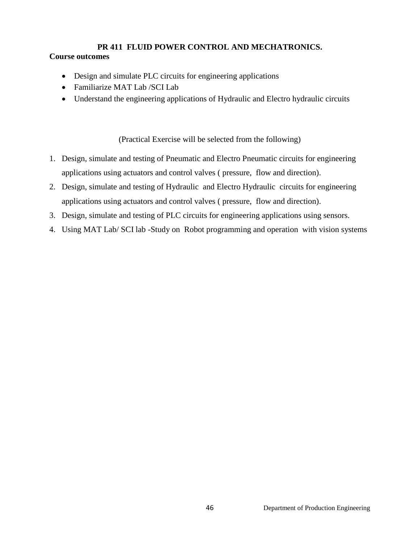### **PR 411 FLUID POWER CONTROL AND MECHATRONICS. Course outcomes**

- Design and simulate PLC circuits for engineering applications
- Familiarize MAT Lab /SCI Lab
- Understand the engineering applications of Hydraulic and Electro hydraulic circuits

(Practical Exercise will be selected from the following)

- 1. Design, simulate and testing of Pneumatic and Electro Pneumatic circuits for engineering applications using actuators and control valves ( pressure, flow and direction).
- 2. Design, simulate and testing of Hydraulic and Electro Hydraulic circuits for engineering applications using actuators and control valves ( pressure, flow and direction).
- 3. Design, simulate and testing of PLC circuits for engineering applications using sensors.
- 4. Using MAT Lab/ SCI lab -Study on Robot programming and operation with vision systems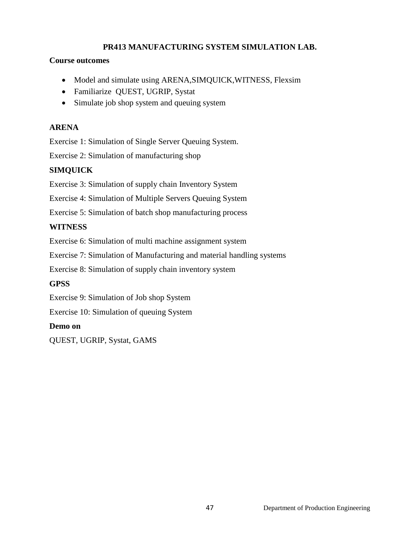# **PR413 MANUFACTURING SYSTEM SIMULATION LAB.**

#### **Course outcomes**

- Model and simulate using ARENA, SIMQUICK, WITNESS, Flexsim
- Familiarize QUEST, UGRIP, Systat
- Simulate job shop system and queuing system

# **ARENA**

Exercise 1: Simulation of Single Server Queuing System.

Exercise 2: Simulation of manufacturing shop

# **SIMQUICK**

Exercise 3: Simulation of supply chain Inventory System

Exercise 4: Simulation of Multiple Servers Queuing System

Exercise 5: Simulation of batch shop manufacturing process

# **WITNESS**

Exercise 6: Simulation of multi machine assignment system

Exercise 7: Simulation of Manufacturing and material handling systems

Exercise 8: Simulation of supply chain inventory system

# **GPSS**

Exercise 9: Simulation of Job shop System

Exercise 10: Simulation of queuing System

### **Demo on**

QUEST, UGRIP, Systat, GAMS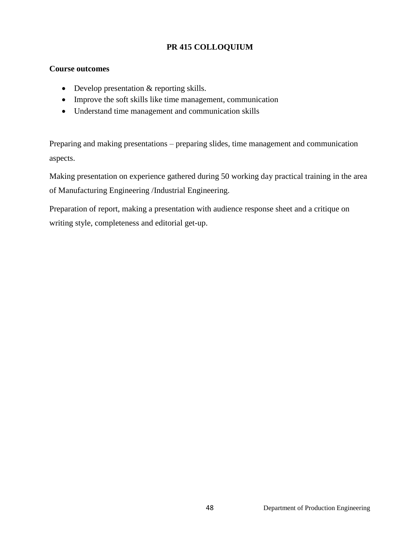# **PR 415 COLLOQUIUM**

## **Course outcomes**

- Develop presentation & reporting skills.
- Improve the soft skills like time management, communication
- Understand time management and communication skills

Preparing and making presentations – preparing slides, time management and communication aspects.

Making presentation on experience gathered during 50 working day practical training in the area of Manufacturing Engineering /Industrial Engineering.

Preparation of report, making a presentation with audience response sheet and a critique on writing style, completeness and editorial get-up.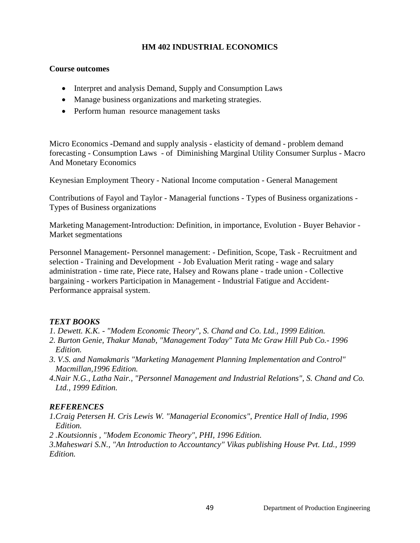#### **HM 402 INDUSTRIAL ECONOMICS**

#### **Course outcomes**

- Interpret and analysis Demand, Supply and Consumption Laws
- Manage business organizations and marketing strategies.
- Perform human resource management tasks

Micro Economics **-**Demand and supply analysis - elasticity of demand - problem demand forecasting - Consumption Laws - of Diminishing Marginal Utility Consumer Surplus - Macro And Monetary Economics

Keynesian Employment Theory - National Income computation - General Management

Contributions of Fayol and Taylor - Managerial functions - Types of Business organizations - Types of Business organizations

Marketing Management**-**Introduction: Definition, in importance, Evolution - Buyer Behavior - Market segmentations

Personnel Management**-** Personnel management: - Definition, Scope, Task - Recruitment and selection - Training and Development - Job Evaluation Merit rating - wage and salary administration - time rate, Piece rate, Halsey and Rowans plane - trade union - Collective bargaining - workers Participation in Management - Industrial Fatigue and Accident-Performance appraisal system.

### *TEXT BOOKS*

- *1. Dewett. K.K. - "Modem Economic Theory", S. Chand and Co. Ltd., 1999 Edition.*
- *2. Burton Genie, Thakur Manab, "Management Today" Tata Mc Graw Hill Pub Co.- 1996 Edition.*
- *3. V.S. and Namakmaris "Marketing Management Planning Implementation and Control" Macmillan,1996 Edition.*
- *4.Nair N.G., Latha Nair., "Personnel Management and Industrial Relations", S. Chand and Co. Ltd., 1999 Edition.*

### *REFERENCES*

- *1.Craig Petersen H. Cris Lewis W. "Managerial Economics", Prentice Hall of India, 1996 Edition.*
- *2 .Koutsionnis , "Modem Economic Theory", PHI, 1996 Edition.*

*3.Maheswari S.N., "An Introduction to Accountancy" Vikas publishing House Pvt. Ltd., 1999 Edition.*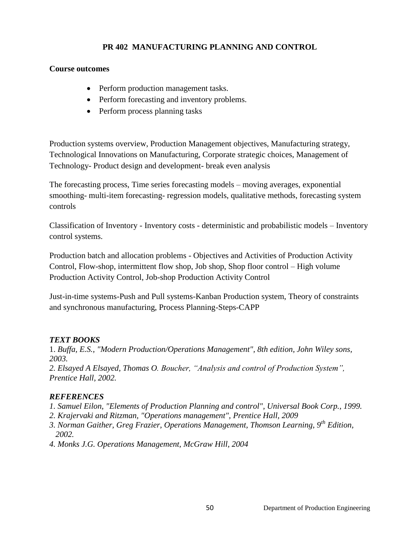# **PR 402 MANUFACTURING PLANNING AND CONTROL**

#### **Course outcomes**

- Perform production management tasks.
- Perform forecasting and inventory problems.
- Perform process planning tasks

Production systems overview, Production Management objectives, Manufacturing strategy, Technological Innovations on Manufacturing, Corporate strategic choices, Management of Technology- Product design and development- break even analysis

The forecasting process, Time series forecasting models – moving averages, exponential smoothing- multi-item forecasting- regression models, qualitative methods, forecasting system controls

Classification of Inventory - Inventory costs - deterministic and probabilistic models – Inventory control systems.

Production batch and allocation problems - Objectives and Activities of Production Activity Control, Flow-shop, intermittent flow shop, Job shop, Shop floor control – High volume Production Activity Control, Job-shop Production Activity Control

Just-in-time systems-Push and Pull systems-Kanban Production system, Theory of constraints and synchronous manufacturing, Process Planning-Steps-CAPP

### *TEXT BOOKS*

1. *Buffa, E.S., "Modern Production/Operations Management", 8th edition, John Wiley sons, 2003.*

*2. Elsayed A Elsayed, Thomas O. Boucher, "Analysis and control of Production System", Prentice Hall, 2002.* 

### *REFERENCES*

*1. Samuel Eilon, "Elements of Production Planning and control", Universal Book Corp., 1999.*

- *2. Krajervaki and Ritzman, "Operations management", Prentice Hall, 2009*
- *3. Norman Gaither, Greg Frazier, Operations Management, Thomson Learning, 9th Edition, 2002.*
- *4. Monks J.G. Operations Management, McGraw Hill, 2004*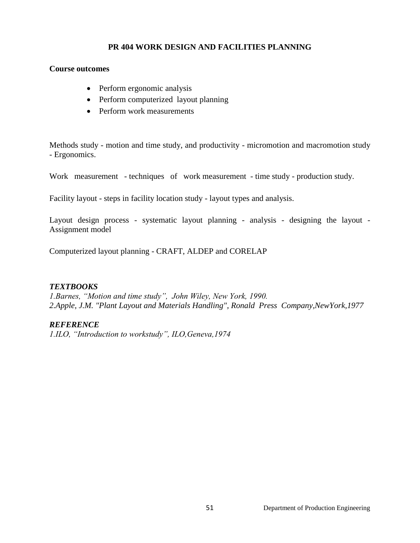# **PR 404 WORK DESIGN AND FACILITIES PLANNING**

#### **Course outcomes**

- Perform ergonomic analysis
- Perform computerized layout planning
- Perform work measurements

Methods study - motion and time study, and productivity - micromotion and macromotion study - Ergonomics.

Work measurement - techniques of work measurement - time study - production study.

Facility layout - steps in facility location study - layout types and analysis.

Layout design process - systematic layout planning - analysis - designing the layout - Assignment model

Computerized layout planning - CRAFT, ALDEP and CORELAP

### *TEXTBOOKS*

*1.Barnes, "Motion and time study", John Wiley, New York, 1990. 2.Apple, J.M. "Plant Layout and Materials Handling", Ronald Press Company,NewYork,1977*

### *REFERENCE*

*1.ILO, "Introduction to workstudy", ILO,Geneva,1974*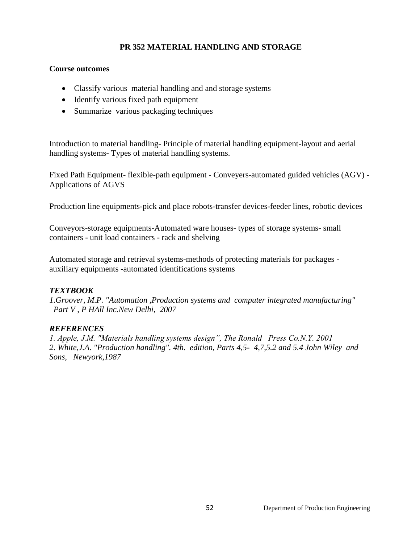# **PR 352 MATERIAL HANDLING AND STORAGE**

#### **Course outcomes**

- Classify various material handling and and storage systems
- Identify various fixed path equipment
- Summarize various packaging techniques

Introduction to material handling- Principle of material handling equipment-layout and aerial handling systems- Types of material handling systems.

Fixed Path Equipment- flexible-path equipment - Conveyers-automated guided vehicles (AGV) - Applications of AGVS

Production line equipments-pick and place robots-transfer devices-feeder lines, robotic devices

Conveyors-storage equipments-Automated ware houses- types of storage systems- small containers - unit load containers - rack and shelving

Automated storage and retrieval systems-methods of protecting materials for packages auxiliary equipments -automated identifications systems

### *TEXTBOOK*

*1.Groover, M.P. "Automation ,Production systems and computer integrated manufacturing" Part V , P HAll Inc.New Delhi, 2007*

### *REFERENCES*

*1. Apple, J.M. "Materials handling systems design", The Ronald Press Co.N.Y. 2001 2. White,J.A. "Production handling". 4th. edition, Parts 4,5- 4,7,5.2 and 5.4 John Wiley and Sons, Newyork,1987*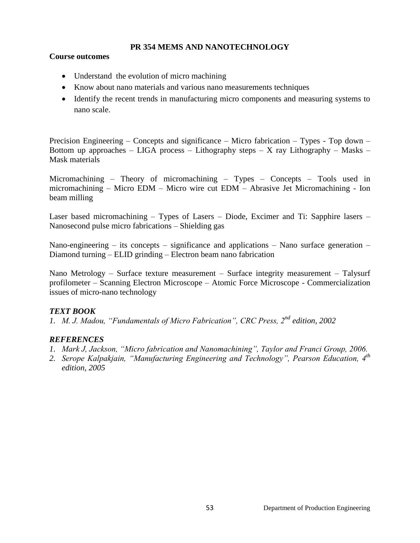#### **PR 354 MEMS AND NANOTECHNOLOGY**

#### **Course outcomes**

- Understand the evolution of micro machining
- Know about nano materials and various nano measurements techniques
- Identify the recent trends in manufacturing micro components and measuring systems to nano scale.

Precision Engineering – Concepts and significance – Micro fabrication – Types - Top down – Bottom up approaches – LIGA process – Lithography steps – X ray Lithography – Masks – Mask materials

Micromachining – Theory of micromachining – Types – Concepts – Tools used in micromachining – Micro EDM – Micro wire cut EDM – Abrasive Jet Micromachining - Ion beam milling

Laser based micromachining – Types of Lasers – Diode, Excimer and Ti: Sapphire lasers – Nanosecond pulse micro fabrications – Shielding gas

Nano-engineering – its concepts – significance and applications – Nano surface generation – Diamond turning – ELID grinding – Electron beam nano fabrication

Nano Metrology – Surface texture measurement – Surface integrity measurement – Talysurf profilometer – Scanning Electron Microscope – Atomic Force Microscope - Commercialization issues of micro-nano technology

### *TEXT BOOK*

*1. M. J. Madou, "Fundamentals of Micro Fabrication", CRC Press, 2nd edition, 2002*

- *1. Mark J, Jackson, "Micro fabrication and Nanomachining", Taylor and Franci Group, 2006.*
- *2. Serope Kalpakjain, "Manufacturing Engineering and Technology", Pearson Education, 4th edition, 2005*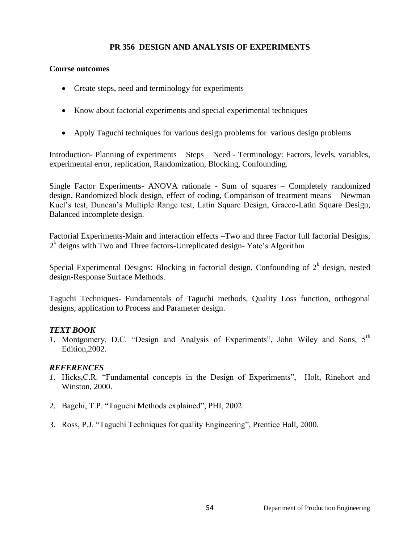#### **PR 356 DESIGN AND ANALYSIS OF EXPERIMENTS**

#### **Course outcomes**

- Create steps, need and terminology for experiments
- Know about factorial experiments and special experimental techniques
- Apply Taguchi techniques for various design problems for various design problems

Introduction- Planning of experiments – Steps – Need - Terminology: Factors, levels, variables, experimental error, replication, Randomization, Blocking, Confounding.

Single Factor Experiments- ANOVA rationale - Sum of squares – Completely randomized design, Randomized block design, effect of coding, Comparison of treatment means – Newman Kuel's test, Duncan's Multiple Range test, Latin Square Design, Graeco-Latin Square Design, Balanced incomplete design.

Factorial Experiments-Main and interaction effects –Two and three Factor full factorial Designs, 2<sup>k</sup> deigns with Two and Three factors-Unreplicated design-Yate's Algorithm

Special Experimental Designs: Blocking in factorial design, Confounding of  $2<sup>k</sup>$  design, nested design-Response Surface Methods.

Taguchi Techniques- Fundamentals of Taguchi methods, Quality Loss function, orthogonal designs, application to Process and Parameter design.

#### *TEXT BOOK*

*1.* Montgomery, D.C. "Design and Analysis of Experiments", John Wiley and Sons, 5<sup>th</sup> Edition,2002.

- *1.* Hicks, C.R. "Fundamental concepts in the Design of Experiments", Holt, Rinehort and Winston, 2000.
- 2. Bagchi, T.P. "Taguchi Methods explained", PHI, 2002.
- 3. Ross, P.J. ―Taguchi Techniques for quality Engineering‖, Prentice Hall, 2000*.*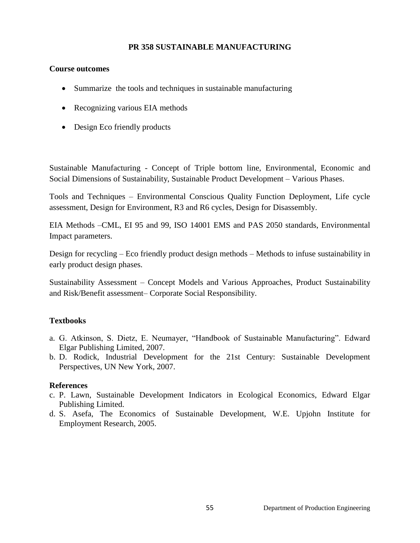#### **PR 358 SUSTAINABLE MANUFACTURING**

#### **Course outcomes**

- Summarize the tools and techniques in sustainable manufacturing
- Recognizing various EIA methods
- Design Eco friendly products

Sustainable Manufacturing - Concept of Triple bottom line, Environmental, Economic and Social Dimensions of Sustainability, Sustainable Product Development – Various Phases.

Tools and Techniques – Environmental Conscious Quality Function Deployment, Life cycle assessment, Design for Environment, R3 and R6 cycles, Design for Disassembly.

EIA Methods –CML, EI 95 and 99, ISO 14001 EMS and PAS 2050 standards, Environmental Impact parameters.

Design for recycling – Eco friendly product design methods – Methods to infuse sustainability in early product design phases.

Sustainability Assessment – Concept Models and Various Approaches, Product Sustainability and Risk/Benefit assessment– Corporate Social Responsibility.

#### **Textbooks**

- a. G. Atkinson, S. Dietz, E. Neumayer, "Handbook of Sustainable Manufacturing". Edward Elgar Publishing Limited, 2007.
- b. D. Rodick, Industrial Development for the 21st Century: Sustainable Development Perspectives, UN New York, 2007.

#### **References**

- c. P. Lawn, Sustainable Development Indicators in Ecological Economics, Edward Elgar Publishing Limited.
- d. S. Asefa, The Economics of Sustainable Development, W.E. Upjohn Institute for Employment Research, 2005.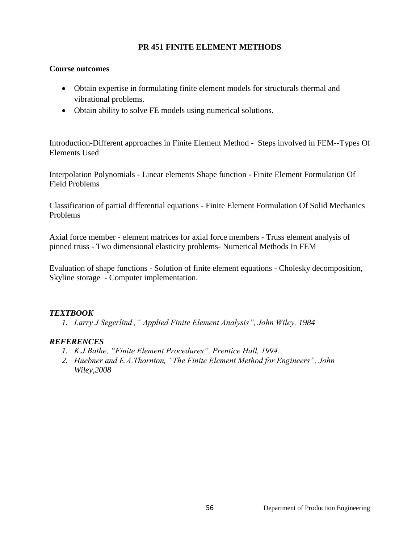#### **PR 451 FINITE ELEMENT METHODS**

#### **Course outcomes**

- Obtain expertise in formulating finite element models for structurals thermal and vibrational problems.
- Obtain ability to solve FE models using numerical solutions.

Introduction**-**Different approaches in Finite Element Method - Steps involved in FEM--Types Of Elements Used

Interpolation Polynomials - Linear elements Shape function - Finite Element Formulation Of Field Problems

Classification of partial differential equations - Finite Element Formulation Of Solid Mechanics Problems

Axial force member - element matrices for axial force members - Truss element analysis of pinned truss - Two dimensional elasticity problems- Numerical Methods In FEM

Evaluation of shape functions - Solution of finite element equations - Cholesky decomposition, Skyline storage - Computer implementation.

### *TEXTBOOK*

*1. Larry J Segerlind ," Applied Finite Element Analysis", John Wiley, 1984*

- *1. K.J.Bathe, "Finite Element Procedures", Prentice Hall, 1994.*
- *2. Huebner and E.A.Thornton, "The Finite Element Method for Engineers", John Wiley,2008*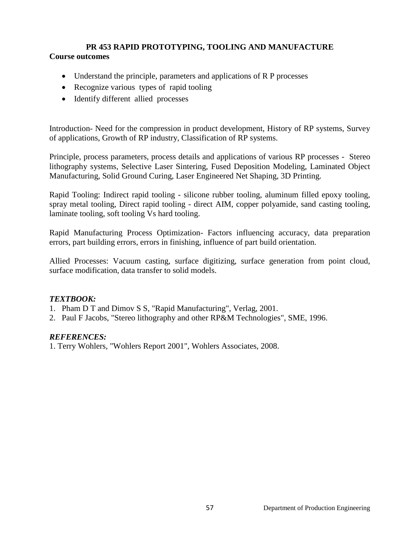# **PR 453 RAPID PROTOTYPING, TOOLING AND MANUFACTURE Course outcomes**

- Understand the principle, parameters and applications of R P processes
- Recognize various types of rapid tooling
- Identify different allied processes

Introduction- Need for the compression in product development, History of RP systems, Survey of applications, Growth of RP industry, Classification of RP systems.

Principle, process parameters, process details and applications of various RP processes - Stereo lithography systems, Selective Laser Sintering, Fused Deposition Modeling, Laminated Object Manufacturing, Solid Ground Curing, Laser Engineered Net Shaping, 3D Printing.

Rapid Tooling: Indirect rapid tooling - silicone rubber tooling, aluminum filled epoxy tooling, spray metal tooling, Direct rapid tooling - direct AIM, copper polyamide, sand casting tooling, laminate tooling, soft tooling Vs hard tooling.

Rapid Manufacturing Process Optimization- Factors influencing accuracy, data preparation errors, part building errors, errors in finishing, influence of part build orientation.

Allied Processes: Vacuum casting, surface digitizing, surface generation from point cloud, surface modification, data transfer to solid models.

### *TEXTBOOK:*

- 1. Pham D T and Dimov S S, "Rapid Manufacturing", Verlag, 2001.
- 2. Paul F Jacobs, "Stereo lithography and other RP&M Technologies", SME, 1996.

#### *REFERENCES:*

1. Terry Wohlers, "Wohlers Report 2001", Wohlers Associates, 2008.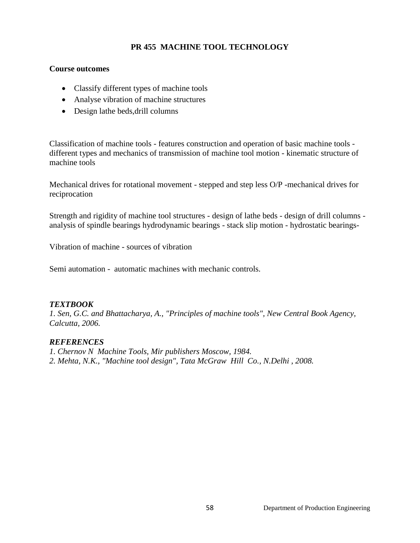# **PR 455 MACHINE TOOL TECHNOLOGY**

#### **Course outcomes**

- Classify different types of machine tools
- Analyse vibration of machine structures
- Design lathe beds, drill columns

Classification of machine tools - features construction and operation of basic machine tools different types and mechanics of transmission of machine tool motion - kinematic structure of machine tools

Mechanical drives for rotational movement - stepped and step less O/P -mechanical drives for reciprocation

Strength and rigidity of machine tool structures - design of lathe beds - design of drill columns analysis of spindle bearings hydrodynamic bearings - stack slip motion - hydrostatic bearings-

Vibration of machine - sources of vibration

Semi automation - automatic machines with mechanic controls.

### *TEXTBOOK*

*1. Sen, G.C. and Bhattacharya, A., "Principles of machine tools", New Central Book Agency, Calcutta, 2006.*

- *1. Chernov N Machine Tools, Mir publishers Moscow, 1984.*
- *2. Mehta, N.K., "Machine tool design", Tata McGraw Hill Co., N.Delhi , 2008.*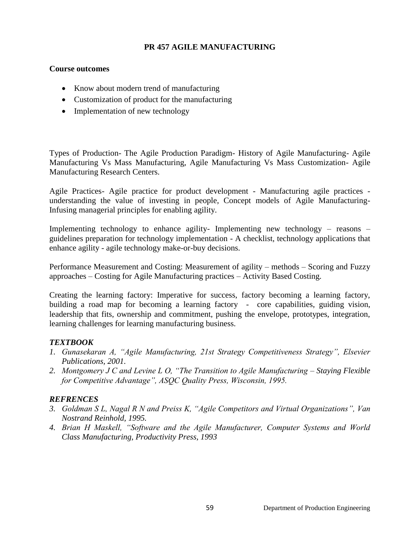## **PR 457 AGILE MANUFACTURING**

#### **Course outcomes**

- Know about modern trend of manufacturing
- Customization of product for the manufacturing
- Implementation of new technology

Types of Production- The Agile Production Paradigm- History of Agile Manufacturing- Agile Manufacturing Vs Mass Manufacturing, Agile Manufacturing Vs Mass Customization- Agile Manufacturing Research Centers.

Agile Practices- Agile practice for product development - Manufacturing agile practices understanding the value of investing in people, Concept models of Agile Manufacturing-Infusing managerial principles for enabling agility.

Implementing technology to enhance agility- Implementing new technology – reasons – guidelines preparation for technology implementation - A checklist, technology applications that enhance agility - agile technology make-or-buy decisions.

Performance Measurement and Costing: Measurement of agility – methods – Scoring and Fuzzy approaches – Costing for Agile Manufacturing practices – Activity Based Costing.

Creating the learning factory: Imperative for success, factory becoming a learning factory, building a road map for becoming a learning factory - core capabilities, guiding vision, leadership that fits, ownership and commitment, pushing the envelope, prototypes, integration, learning challenges for learning manufacturing business.

### *TEXTBOOK*

- *1. Gunasekaran A, "Agile Manufacturing, 21st Strategy Competitiveness Strategy", Elsevier Publications, 2001.*
- *2. Montgomery J C and Levine L O, "The Transition to Agile Manufacturing – Staying Flexible for Competitive Advantage", ASQC Quality Press, Wisconsin, 1995.*

- *3. Goldman S L, Nagal R N and Preiss K, "Agile Competitors and Virtual Organizations", Van Nostrand Reinhold, 1995.*
- *4. Brian H Maskell, "Software and the Agile Manufacturer, Computer Systems and World Class Manufacturing, Productivity Press, 1993*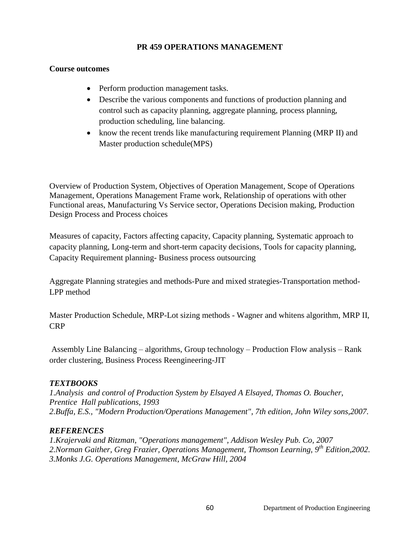#### **PR 459 OPERATIONS MANAGEMENT**

#### **Course outcomes**

- Perform production management tasks.
- Describe the various components and functions of production planning and control such as capacity planning, aggregate planning, process planning, production scheduling, line balancing.
- know the recent trends like manufacturing requirement Planning (MRP II) and Master production schedule(MPS)

Overview of Production System, Objectives of Operation Management, Scope of Operations Management, Operations Management Frame work, Relationship of operations with other Functional areas, Manufacturing Vs Service sector, Operations Decision making, Production Design Process and Process choices

Measures of capacity, Factors affecting capacity, Capacity planning, Systematic approach to capacity planning, Long-term and short-term capacity decisions, Tools for capacity planning, Capacity Requirement planning- Business process outsourcing

Aggregate Planning strategies and methods-Pure and mixed strategies-Transportation method-LPP method

Master Production Schedule, MRP-Lot sizing methods - Wagner and whitens algorithm, MRP II, CRP

Assembly Line Balancing – algorithms, Group technology – Production Flow analysis – Rank order clustering, Business Process Reengineering-JIT

### *TEXTBOOKS*

*1.Analysis and control of Production System by Elsayed A Elsayed, Thomas O. Boucher, Prentice Hall publications, 1993 2.Buffa, E.S., "Modern Production/Operations Management", 7th edition, John Wiley sons,2007.*

### *REFERENCES*

*1.Krajervaki and Ritzman, "Operations management", Addison Wesley Pub. Co, 2007 2.Norman Gaither, Greg Frazier, Operations Management, Thomson Learning, 9th Edition,2002. 3.Monks J.G. Operations Management, McGraw Hill, 2004*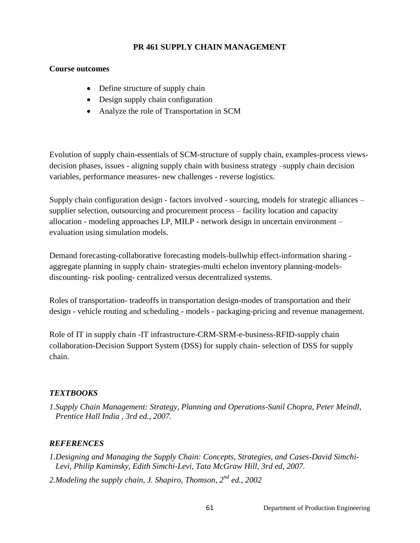### **PR 461 SUPPLY CHAIN MANAGEMENT**

#### **Course outcomes**

- Define structure of supply chain
- Design supply chain configuration
- Analyze the role of Transportation in SCM

Evolution of supply chain-essentials of SCM-structure of supply chain, examples-process viewsdecision phases, issues - aligning supply chain with business strategy –supply chain decision variables, performance measures- new challenges - reverse logistics.

Supply chain configuration design - factors involved - sourcing, models for strategic alliances – supplier selection, outsourcing and procurement process – facility location and capacity allocation - modeling approaches LP, MILP - network design in uncertain environment – evaluation using simulation models.

Demand forecasting-collaborative forecasting models-bullwhip effect-information sharing aggregate planning in supply chain- strategies-multi echelon inventory planning-modelsdiscounting- risk pooling- centralized versus decentralized systems.

Roles of transportation- tradeoffs in transportation design-modes of transportation and their design - vehicle routing and scheduling - models - packaging-pricing and revenue management.

Role of IT in supply chain -IT infrastructure-CRM-SRM-e-business-RFID-supply chain collaboration-Decision Support System (DSS) for supply chain- selection of DSS for supply chain.

### *TEXTBOOKS*

*1.Supply Chain Management: Strategy, Planning and Operations-Sunil Chopra, Peter Meindl, Prentice Hall India , 3rd ed., 2007.*

- *1.Designing and Managing the Supply Chain: Concepts, Strategies, and Cases-David Simchi-Levi, Philip Kaminsky, Edith Simchi-Levi, Tata McGraw Hill, 3rd ed, 2007.*
- *2.Modeling the supply chain, J. Shapiro, Thomson, 2nd ed., 2002*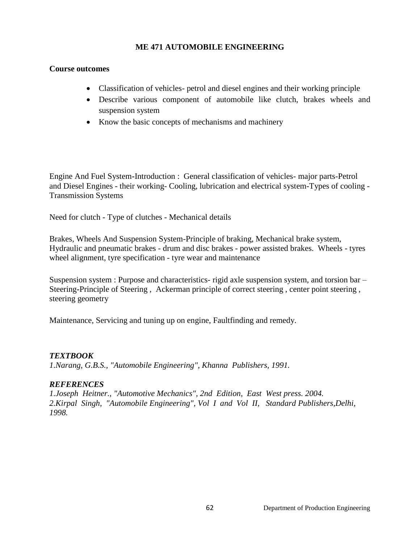#### **ME 471 AUTOMOBILE ENGINEERING**

#### **Course outcomes**

- Classification of vehicles- petrol and diesel engines and their working principle
- Describe various component of automobile like clutch, brakes wheels and suspension system
- Know the basic concepts of mechanisms and machinery

Engine And Fuel System**-**Introduction : General classification of vehicles- major parts-Petrol and Diesel Engines - their working- Cooling, lubrication and electrical system-Types of cooling - Transmission Systems

Need for clutch - Type of clutches - Mechanical details

Brakes, Wheels And Suspension System-Principle of braking, Mechanical brake system, Hydraulic and pneumatic brakes - drum and disc brakes - power assisted brakes. Wheels - tyres wheel alignment, tyre specification - tyre wear and maintenance

Suspension system : Purpose and characteristics- rigid axle suspension system, and torsion bar – Steering**-**Principle of Steering , Ackerman principle of correct steering , center point steering , steering geometry

Maintenance, Servicing and tuning up on engine, Faultfinding and remedy.

### *TEXTBOOK*

*1.Narang, G.B.S., "Automobile Engineering", Khanna Publishers, 1991.*

### *REFERENCES*

*1.Joseph Heitner., "Automotive Mechanics", 2nd Edition, East West press. 2004. 2.Kirpal Singh, "Automobile Engineering", Vol I and Vol II, Standard Publishers,Delhi, 1998.*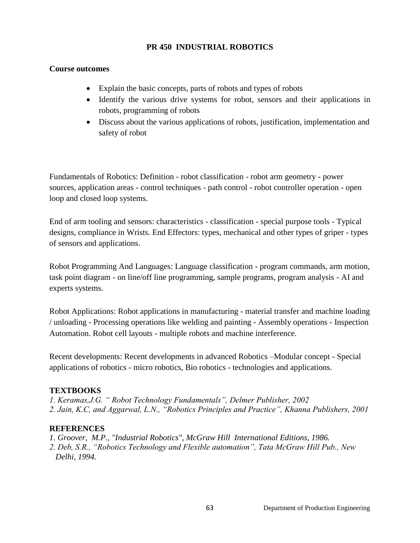## **PR 450 INDUSTRIAL ROBOTICS**

### **Course outcomes**

- Explain the basic concepts, parts of robots and types of robots
- Identify the various drive systems for robot, sensors and their applications in robots, programming of robots
- Discuss about the various applications of robots, justification, implementation and safety of robot

Fundamentals of Robotics: Definition - robot classification - robot arm geometry - power sources, application areas - control techniques - path control - robot controller operation - open loop and closed loop systems.

End of arm tooling and sensors: characteristics - classification - special purpose tools - Typical designs, compliance in Wrists. End Effectors: types, mechanical and other types of griper - types of sensors and applications.

Robot Programming And Languages: Language classification - program commands, arm motion, task point diagram - on line/off line programming, sample programs, program analysis - AI and experts systems.

Robot Applications: Robot applications in manufacturing - material transfer and machine loading / unloading - Processing operations like welding and painting - Assembly operations - Inspection Automation. Robot cell layouts - multiple robots and machine interference.

Recent developments: Recent developments in advanced Robotics –Modular concept - Special applications of robotics - micro robotics, Bio robotics - technologies and applications.

### **TEXTBOOKS**

*1. Keramas,J.G. " Robot Technology Fundamentals", Delmer Publisher, 2002 2. Jain, K.C, and Aggarwal, L.N., "Robotics Principles and Practice", Khanna Publishers, 2001*

- *1. Groover, M.P., "Industrial Robotics", McGraw Hill International Editions, 1986.*
- *2. Deb, S.R., "Robotics Technology and Flexible automation", Tata McGraw Hill Pub., New Delhi, 1994.*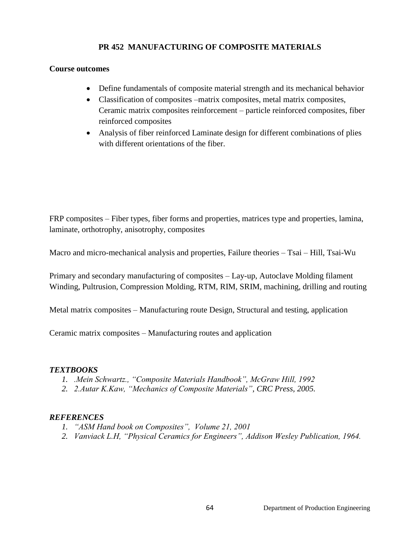# **PR 452 MANUFACTURING OF COMPOSITE MATERIALS**

#### **Course outcomes**

- Define fundamentals of composite material strength and its mechanical behavior
- Classification of composites –matrix composites, metal matrix composites, Ceramic matrix composites reinforcement – particle reinforced composites, fiber reinforced composites
- Analysis of fiber reinforced Laminate design for different combinations of plies with different orientations of the fiber.

FRP composites – Fiber types, fiber forms and properties, matrices type and properties, lamina, laminate, orthotrophy, anisotrophy, composites

Macro and micro-mechanical analysis and properties, Failure theories – Tsai – Hill, Tsai-Wu

Primary and secondary manufacturing of composites – Lay-up, Autoclave Molding filament Winding, Pultrusion, Compression Molding, RTM, RIM, SRIM, machining, drilling and routing

Metal matrix composites – Manufacturing route Design, Structural and testing, application

Ceramic matrix composites – Manufacturing routes and application

### *TEXTBOOKS*

- *1. .Mein Schwartz., "Composite Materials Handbook", McGraw Hill, 1992*
- *2. 2.Autar K.Kaw, "Mechanics of Composite Materials", CRC Press, 2005.*

- *1. "ASM Hand book on Composites", Volume 21, 2001*
- *2. Vanviack L.H, "Physical Ceramics for Engineers", Addison Wesley Publication, 1964.*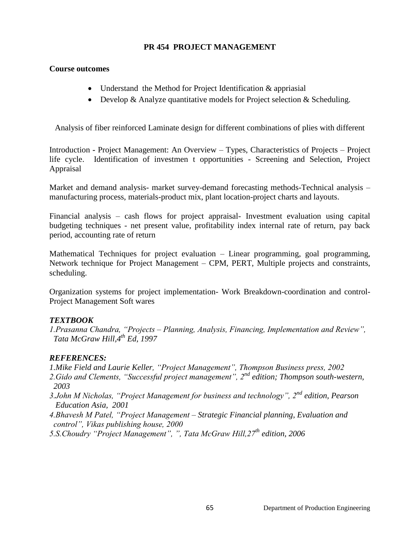#### **PR 454 PROJECT MANAGEMENT**

#### **Course outcomes**

- Understand the Method for Project Identification & appriasial
- Develop & Analyze quantitative models for Project selection  $\&$  Scheduling.

Analysis of fiber reinforced Laminate design for different combinations of plies with different

Introduction **-** Project Management: An Overview – Types, Characteristics of Projects – Project life cycle. Identification of investmen t opportunities - Screening and Selection, Project Appraisal

Market and demand analysis- market survey-demand forecasting methods-Technical analysis – manufacturing process, materials-product mix, plant location-project charts and layouts.

Financial analysis – cash flows for project appraisal- Investment evaluation using capital budgeting techniques - net present value, profitability index internal rate of return, pay back period, accounting rate of return

Mathematical Techniques for project evaluation – Linear programming, goal programming, Network technique for Project Management – CPM, PERT, Multiple projects and constraints, scheduling.

Organization systems for project implementation- Work Breakdown-coordination and control-Project Management Soft wares

### *TEXTBOOK*

*1.Prasanna Chandra, "Projects – Planning, Analysis, Financing, Implementation and Review", Tata McGraw Hill,4th Ed, 1997*

#### *REFERENCES:*

*1.Mike Field and Laurie Keller, "Project Management", Thompson Business press, 2002 2.Gido and Clements, "Successful project management", 2nd edition; Thompson south-western, 2003* 

- *3.John M Nicholas, "Project Management for business and technology", 2nd edition, Pearson Education Asia, 2001*
- *4.Bhavesh M Patel, "Project Management – Strategic Financial planning, Evaluation and control", Vikas publishing house, 2000*

*5.S.Choudry "Project Management", ", Tata McGraw Hill,27th edition, 2006*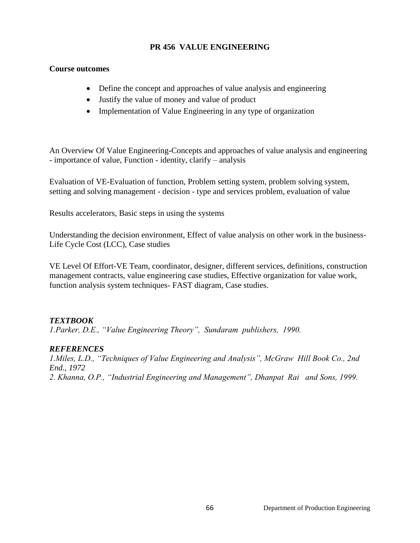#### **PR 456 VALUE ENGINEERING**

#### **Course outcomes**

- Define the concept and approaches of value analysis and engineering
- Justify the value of money and value of product
- Implementation of Value Engineering in any type of organization

An Overview Of Value Engineering**-**Concepts and approaches of value analysis and engineering - importance of value, Function - identity, clarify – analysis

Evaluation of VE-Evaluation of function, Problem setting system, problem solving system, setting and solving management - decision - type and services problem, evaluation of value

Results accelerators, Basic steps in using the systems

Understanding the decision environment, Effect of value analysis on other work in the business-Life Cycle Cost (LCC), Case studies

VE Level Of Effort-VE Team, coordinator, designer, different services, definitions, construction management contracts, value engineering case studies, Effective organization for value work, function analysis system techniques- FAST diagram, Case studies.

### *TEXTBOOK*

*1.Parker, D.E., "Value Engineering Theory", Sundaram publishers, 1990.*

### *REFERENCES*

*1.Miles, L.D., "Techniques of Value Engineering and Analysis", McGraw Hill Book Co., 2nd End., 1972 2. Khanna, O.P., "Industrial Engineering and Management", Dhanpat Rai and Sons, 1999.*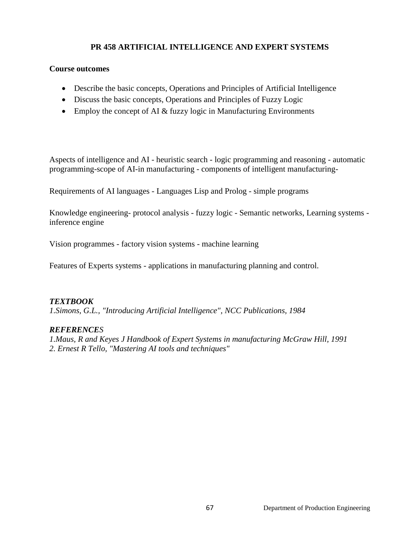# **PR 458 ARTIFICIAL INTELLIGENCE AND EXPERT SYSTEMS**

#### **Course outcomes**

- Describe the basic concepts, Operations and Principles of Artificial Intelligence
- Discuss the basic concepts, Operations and Principles of Fuzzy Logic
- Employ the concept of AI & fuzzy logic in Manufacturing Environments

Aspects of intelligence and AI - heuristic search - logic programming and reasoning - automatic programming-scope of AI-in manufacturing - components of intelligent manufacturing-

Requirements of AI languages - Languages Lisp and Prolog - simple programs

Knowledge engineering- protocol analysis - fuzzy logic - Semantic networks, Learning systems inference engine

Vision programmes - factory vision systems - machine learning

Features of Experts systems - applications in manufacturing planning and control.

### *TEXTBOOK*

*1.Simons, G.L., "Introducing Artificial Intelligence", NCC Publications, 1984*

### *REFERENCES*

*1.Maus, R and Keyes J Handbook of Expert Systems in manufacturing McGraw Hill, 1991 2. Ernest R Tello, "Mastering AI tools and techniques"*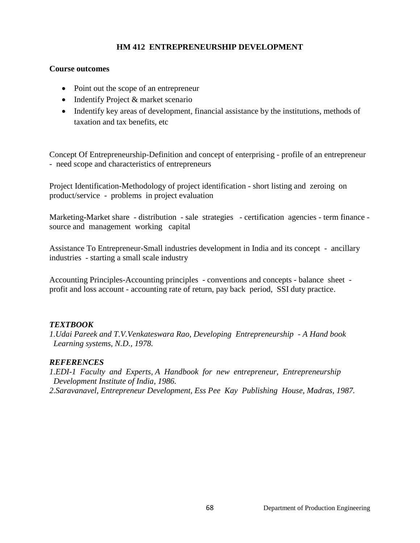### **HM 412 ENTREPRENEURSHIP DEVELOPMENT**

#### **Course outcomes**

- Point out the scope of an entrepreneur
- Indentify Project & market scenario
- Indentify key areas of development, financial assistance by the institutions, methods of taxation and tax benefits, etc

Concept Of Entrepreneurship-Definition and concept of enterprising - profile of an entrepreneur - need scope and characteristics of entrepreneurs

Project Identification-Methodology of project identification - short listing and zeroing on product/service - problems in project evaluation

Marketing**-**Market share - distribution - sale strategies - certification agencies - term finance source and management working capital

Assistance To Entrepreneur-Small industries development in India and its concept - ancillary industries - starting a small scale industry

Accounting Principles-Accounting principles - conventions and concepts - balance sheet profit and loss account - accounting rate of return, pay back period, SSI duty practice.

### *TEXTBOOK*

*1.Udai Pareek and T.V.Venkateswara Rao, Developing Entrepreneurship - A Hand book Learning systems, N.D., 1978.*

### *REFERENCES*

*1.EDI-1 Faculty and Experts, A Handbook for new entrepreneur, Entrepreneurship Development Institute of India, 1986. 2.Saravanavel, Entrepreneur Development, Ess Pee Kay Publishing House, Madras, 1987.*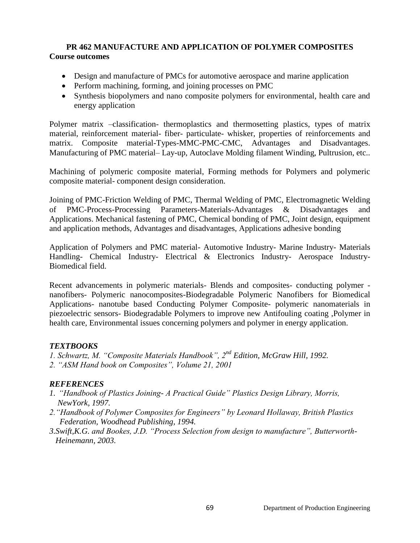## **PR 462 MANUFACTURE AND APPLICATION OF POLYMER COMPOSITES Course outcomes**

- Design and manufacture of PMCs for automotive aerospace and marine application
- Perform machining, forming, and joining processes on PMC
- Synthesis biopolymers and nano composite polymers for environmental, health care and energy application

Polymer matrix –classification- thermoplastics and thermosetting plastics, types of matrix material, reinforcement material- fiber- particulate- whisker, properties of reinforcements and matrix. Composite material-Types-MMC-PMC-CMC, Advantages and Disadvantages. Manufacturing of PMC material– Lay-up, Autoclave Molding filament Winding, Pultrusion, etc..

Machining of polymeric composite material, Forming methods for Polymers and polymeric composite material- component design consideration.

Joining of PMC-Friction Welding of PMC, Thermal Welding of PMC, Electromagnetic Welding of PMC-Process-Processing Parameters-Materials-Advantages & Disadvantages and Applications. Mechanical fastening of PMC, Chemical bonding of PMC, Joint design, equipment and application methods, Advantages and disadvantages, Applications adhesive bonding

Application of Polymers and PMC material- Automotive Industry- Marine Industry- Materials Handling- Chemical Industry- Electrical & Electronics Industry- Aerospace Industry-Biomedical field.

Recent advancements in polymeric materials- Blends and composites- conducting polymer nanofibers- Polymeric nanocomposites-Biodegradable Polymeric Nanofibers for Biomedical Applications- nanotube based Conducting Polymer Composite- polymeric nanomaterials in piezoelectric sensors- Biodegradable Polymers to improve new Antifouling coating ,Polymer in health care, Environmental issues concerning polymers and polymer in energy application.

### *TEXTBOOKS*

- *1. Schwartz, M. "Composite Materials Handbook", 2nd Edition, McGraw Hill, 1992.*
- *2. "ASM Hand book on Composites", Volume 21, 2001*

- *1. "Handbook of Plastics Joining- A Practical Guide" Plastics Design Library, Morris, NewYork, 1997.*
- *2."Handbook of Polymer Composites for Engineers" by Leonard Hollaway, British Plastics Federation, Woodhead Publishing, 1994.*
- *3.Swift,K.G. and Bookes, J.D. "Process Selection from design to manufacture", Butterworth- Heinemann, 2003.*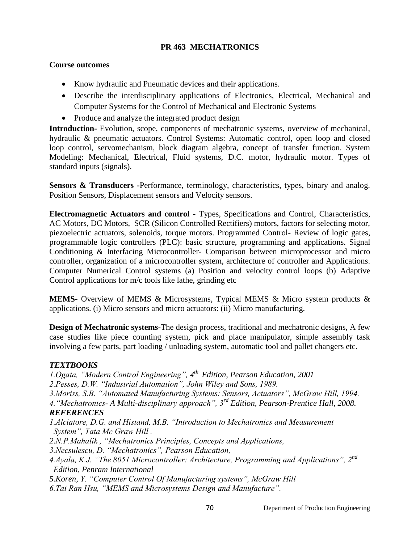## **PR 463 MECHATRONICS**

#### **Course outcomes**

- Know hydraulic and Pneumatic devices and their applications.
- Describe the interdisciplinary applications of Electronics, Electrical, Mechanical and Computer Systems for the Control of Mechanical and Electronic Systems
- Produce and analyze the integrated product design

**Introduction-** Evolution, scope, components of mechatronic systems, overview of mechanical, hydraulic & pneumatic actuators. Control Systems: Automatic control, open loop and closed loop control, servomechanism, block diagram algebra, concept of transfer function. System Modeling: Mechanical, Electrical, Fluid systems, D.C. motor, hydraulic motor. Types of standard inputs (signals).

**Sensors & Transducers -**Performance, terminology, characteristics, types, binary and analog. Position Sensors, Displacement sensors and Velocity sensors.

**Electromagnetic Actuators and control -** Types, Specifications and Control, Characteristics, AC Motors, DC Motors, SCR (Silicon Controlled Rectifiers) motors, factors for selecting motor, piezoelectric actuators, solenoids, torque motors. Programmed Control- Review of logic gates, programmable logic controllers (PLC): basic structure, programming and applications. Signal Conditioning & Interfacing Microcontroller- Comparison between microprocessor and micro controller, organization of a microcontroller system, architecture of controller and Applications. Computer Numerical Control systems (a) Position and velocity control loops (b) Adaptive Control applications for m/c tools like lathe, grinding etc

**MEMS-** Overview of MEMS & Microsystems, Typical MEMS & Micro system products & applications. (i) Micro sensors and micro actuators: (ii) Micro manufacturing.

**Design of Mechatronic systems-**The design process, traditional and mechatronic designs, A few case studies like piece counting system, pick and place manipulator, simple assembly task involving a few parts, part loading / unloading system, automatic tool and pallet changers etc.

### *TEXTBOOKS*

*1.Ogata, "Modern Control Engineering", 4th Edition, Pearson Education, 2001 2.Pesses, D.W. "Industrial Automation", John Wiley and Sons, 1989. 3.Moriss, S.B. "Automated Manufacturing Systems: Sensors, Actuators", McGraw Hill, 1994. 4."Mechatronics- A Multi-disciplinary approach", 3rd Edition, Pearson-Prentice Hall, 2008. REFERENCES 1.Alciatore, D.G. and Histand, M.B. "Introduction to Mechatronics and Measurement System", Tata Mc Graw Hill . 2.N.P.Mahalik , "Mechatronics Principles, Concepts and Applications, 3.Necsulescu, D. "Mechatronics", Pearson Education, 4.Ayala, K.J. "The 8051 Microcontroller: Architecture, Programming and Applications", 2nd Edition, Penram International 5.Koren, Y. "Computer Control Of Manufacturing systems", McGraw Hill 6.Tai Ran Hsu, "MEMS and Microsystems Design and Manufacture".*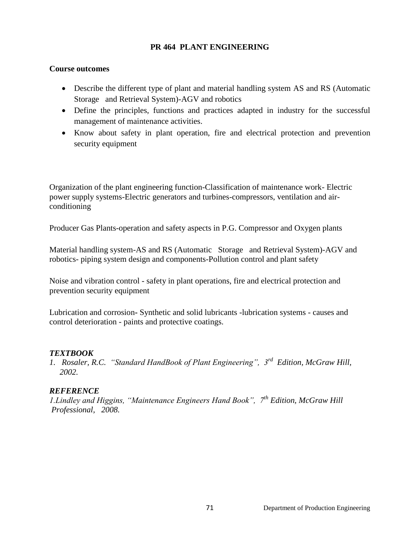#### **PR 464 PLANT ENGINEERING**

#### **Course outcomes**

- Describe the different type of plant and material handling system AS and RS (Automatic Storage and Retrieval System)-AGV and robotics
- Define the principles, functions and practices adapted in industry for the successful management of maintenance activities.
- Know about safety in plant operation, fire and electrical protection and prevention security equipment

Organization of the plant engineering function-Classification of maintenance work- Electric power supply systems-Electric generators and turbines-compressors, ventilation and airconditioning

Producer Gas Plants-operation and safety aspects in P.G. Compressor and Oxygen plants

Material handling system-AS and RS (Automatic Storage and Retrieval System)-AGV and robotics- piping system design and components-Pollution control and plant safety

Noise and vibration control - safety in plant operations, fire and electrical protection and prevention security equipment

Lubrication and corrosion**-** Synthetic and solid lubricants -lubrication systems - causes and control deterioration - paints and protective coatings.

### *TEXTBOOK*

*1. Rosaler, R.C. "Standard HandBook of Plant Engineering", 3rd Edition, McGraw Hill, 2002.*

### *REFERENCE*

*1.Lindley and Higgins, "Maintenance Engineers Hand Book", 7th Edition, McGraw Hill Professional, 2008.*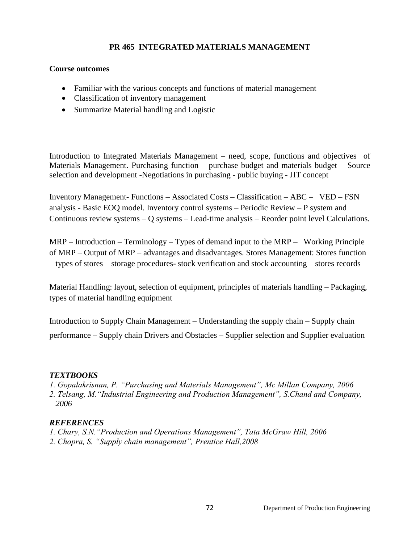# **PR 465 INTEGRATED MATERIALS MANAGEMENT**

#### **Course outcomes**

- Familiar with the various concepts and functions of material management
- Classification of inventory management
- Summarize Material handling and Logistic

Introduction to Integrated Materials Management – need, scope, functions and objectives of Materials Management. Purchasing function – purchase budget and materials budget – Source selection and development -Negotiations in purchasing - public buying - JIT concept

Inventory Management- Functions – Associated Costs – Classification – ABC – VED – FSN analysis - Basic EOQ model. Inventory control systems – Periodic Review – P system and Continuous review systems – Q systems – Lead-time analysis – Reorder point level Calculations.

 $MRP - Introduction - Terminology - Types of demand input to the  $MRP -$  Working Principle$ of MRP – Output of MRP – advantages and disadvantages. Stores Management: Stores function – types of stores – storage procedures- stock verification and stock accounting – stores records

Material Handling: layout, selection of equipment, principles of materials handling – Packaging, types of material handling equipment

Introduction to Supply Chain Management – Understanding the supply chain – Supply chain performance – Supply chain Drivers and Obstacles – Supplier selection and Supplier evaluation

### *TEXTBOOKS*

- *1. Gopalakrisnan, P. "Purchasing and Materials Management", Mc Millan Company, 2006*
- *2. Telsang, M."Industrial Engineering and Production Management", S.Chand and Company, 2006*

- *1. Chary, S.N."Production and Operations Management", Tata McGraw Hill, 2006*
- *2. Chopra, S. "Supply chain management", Prentice Hall,2008*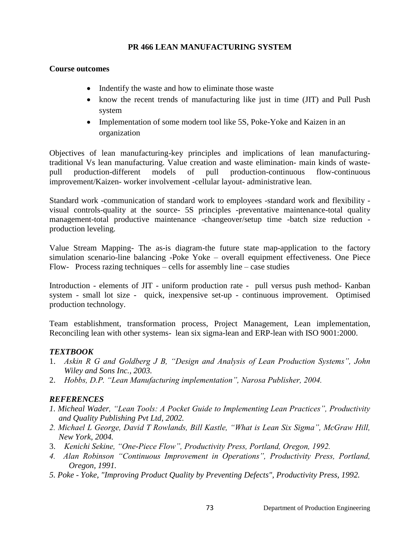# **PR 466 LEAN MANUFACTURING SYSTEM**

### **Course outcomes**

- Indentify the waste and how to eliminate those waste
- know the recent trends of manufacturing like just in time (JIT) and Pull Push system
- Implementation of some modern tool like 5S, Poke-Yoke and Kaizen in an organization

Objectives of lean manufacturing-key principles and implications of lean manufacturingtraditional Vs lean manufacturing. Value creation and waste elimination- main kinds of wastepull production-different models of pull production-continuous flow-continuous improvement/Kaizen- worker involvement -cellular layout- administrative lean.

Standard work -communication of standard work to employees -standard work and flexibility visual controls-quality at the source- 5S principles -preventative maintenance-total quality management-total productive maintenance -changeover/setup time -batch size reduction production leveling.

Value Stream Mapping- The as-is diagram-the future state map-application to the factory simulation scenario-line balancing -Poke Yoke – overall equipment effectiveness. One Piece Flow- Process razing techniques – cells for assembly line – case studies

Introduction - elements of JIT - uniform production rate - pull versus push method- Kanban system - small lot size - quick, inexpensive set-up - continuous improvement. Optimised production technology.

Team establishment, transformation process, Project Management, Lean implementation, Reconciling lean with other systems- lean six sigma-lean and ERP-lean with ISO 9001:2000.

#### *TEXTBOOK*

- 1. *Askin R G and Goldberg J B, "Design and Analysis of Lean Production Systems", John Wiley and Sons Inc., 2003.*
- 2. *Hobbs, D.P. "Lean Manufacturing implementation", Narosa Publisher, 2004.*

- *1. Micheal Wader, "Lean Tools: A Pocket Guide to Implementing Lean Practices", Productivity and Quality Publishing Pvt Ltd, 2002.*
- *2. Michael L George, David T Rowlands, Bill Kastle, "What is Lean Six Sigma", McGraw Hill, New York, 2004.*
- 3. *Kenichi Sekine, "One-Piece Flow", Productivity Press, Portland, Oregon, 1992.*
- *4. Alan Robinson "Continuous Improvement in Operations", Productivity Press, Portland, Oregon, 1991.*
- *5. Poke - Yoke, "Improving Product Quality by Preventing Defects", Productivity Press, 1992.*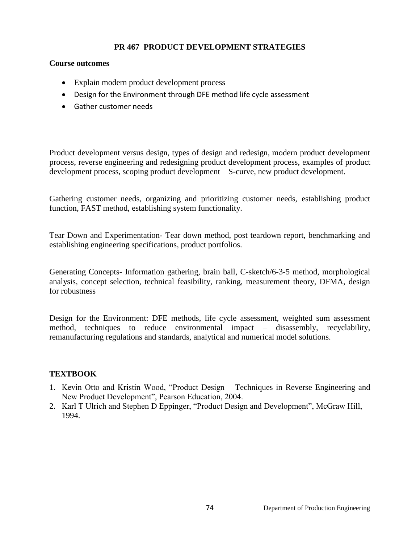# **PR 467 PRODUCT DEVELOPMENT STRATEGIES**

#### **Course outcomes**

- Explain modern product development process
- Design for the Environment through DFE method life cycle assessment
- Gather customer needs

Product development versus design, types of design and redesign, modern product development process, reverse engineering and redesigning product development process, examples of product development process, scoping product development – S-curve, new product development.

Gathering customer needs, organizing and prioritizing customer needs, establishing product function, FAST method, establishing system functionality.

Tear Down and Experimentation- Tear down method, post teardown report, benchmarking and establishing engineering specifications, product portfolios.

Generating Concepts- Information gathering, brain ball, C-sketch/6-3-5 method, morphological analysis, concept selection, technical feasibility, ranking, measurement theory, DFMA, design for robustness

Design for the Environment: DFE methods, life cycle assessment, weighted sum assessment method, techniques to reduce environmental impact – disassembly, recyclability, remanufacturing regulations and standards, analytical and numerical model solutions.

#### **TEXTBOOK**

- 1. Kevin Otto and Kristin Wood, "Product Design Techniques in Reverse Engineering and New Product Development", Pearson Education, 2004.
- 2. Karl T Ulrich and Stephen D Eppinger, "Product Design and Development", McGraw Hill, 1994.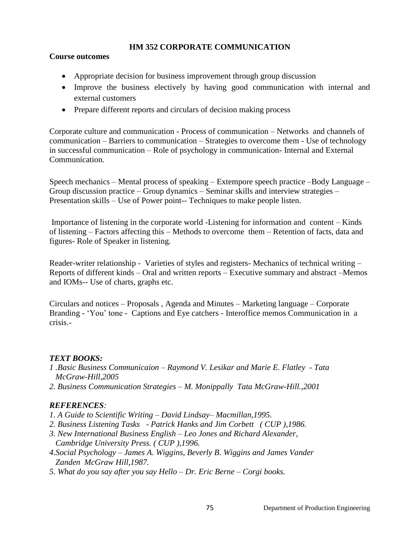# **HM 352 CORPORATE COMMUNICATION**

### **Course outcomes**

- Appropriate decision for business improvement through group discussion
- Improve the business electively by having good communication with internal and external customers
- Prepare different reports and circulars of decision making process

Corporate culture and communication - Process of communication – Networks and channels of communication – Barriers to communication – Strategies to overcome them - Use of technology in successful communication – Role of psychology in communication- Internal and External Communication.

Speech mechanics – Mental process of speaking – Extempore speech practice –Body Language – Group discussion practice – Group dynamics – Seminar skills and interview strategies – Presentation skills – Use of Power point-- Techniques to make people listen.

Importance of listening in the corporate world -Listening for information and content – Kinds of listening – Factors affecting this – Methods to overcome them – Retention of facts, data and figures- Role of Speaker in listening.

Reader-writer relationship - Varieties of styles and registers- Mechanics of technical writing – Reports of different kinds – Oral and written reports – Executive summary and abstract –Memos and IOMs-- Use of charts, graphs etc.

Circulars and notices – Proposals , Agenda and Minutes – Marketing language – Corporate Branding - 'You' tone - Captions and Eye catchers - Interoffice memos Communication in a crisis.-

# *TEXT BOOKS:*

- *1 .Basic Business Communicaion – Raymond V. Lesikar and Marie E. Flatley - Tata McGraw-Hill,2005*
- *2. Business Communication Strategies – M. Monippally Tata McGraw-Hill.,2001*

- *1. A Guide to Scientific Writing – David Lindsay– Macmillan,1995.*
- *2. Business Listening Tasks - Patrick Hanks and Jim Corbett ( CUP ),1986.*
- *3. New International Business English – Leo Jones and Richard Alexander, Cambridge University Press. ( CUP ),1996.*
- *4.Social Psychology – James A. Wiggins, Beverly B. Wiggins and James Vander Zanden McGraw Hill,1987.*
- *5. What do you say after you say Hello – Dr. Eric Berne – Corgi books.*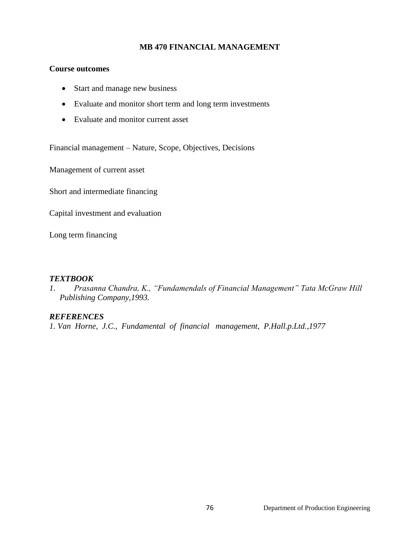### **MB 470 FINANCIAL MANAGEMENT**

### **Course outcomes**

- Start and manage new business
- Evaluate and monitor short term and long term investments
- Evaluate and monitor current asset

Financial management – Nature, Scope, Objectives, Decisions

Management of current asset

Short and intermediate financing

Capital investment and evaluation

Long term financing

# *TEXTBOOK*

*1. Prasanna Chandra, K., "Fundamendals of Financial Management" Tata McGraw Hill Publishing Company,1993.*

# *REFERENCES*

*1. Van Horne, J.C., Fundamental of financial management, P.Hall.p.Ltd.,1977*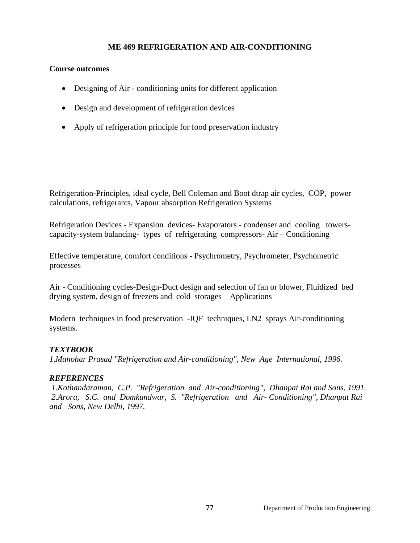## **ME 469 REFRIGERATION AND AIR-CONDITIONING**

### **Course outcomes**

- Designing of Air conditioning units for different application
- Design and development of refrigeration devices
- Apply of refrigeration principle for food preservation industry

Refrigeration**-**Principles, ideal cycle, Bell Coleman and Boot dtrap air cycles, COP, power calculations, refrigerants, Vapour absorption Refrigeration Systems

Refrigeration Devices - Expansion devices- Evaporators - condenser and cooling towerscapacity-system balancing- types of refrigerating compressors- Air – Conditioning

Effective temperature, comfort conditions - Psychrometry, Psychrometer, Psychometric processes

Air - Conditioning cycles-Design**-**Duct design and selection of fan or blower, Fluidized bed drying system, design of freezers and cold storages—Applications

Modern techniques in food preservation -IQF techniques, LN2 sprays Air-conditioning systems.

# *TEXTBOOK*

*1.Manohar Prasad "Refrigeration and Air-conditioning", New Age International, 1996.*

#### *REFERENCES*

*1.Kothandaraman, C.P. "Refrigeration and Air-conditioning", Dhanpat Rai and Sons, 1991. 2.Arora, S.C. and Domkundwar, S. "Refrigeration and Air- Conditioning", Dhanpat Rai and Sons, New Delhi, 1997.*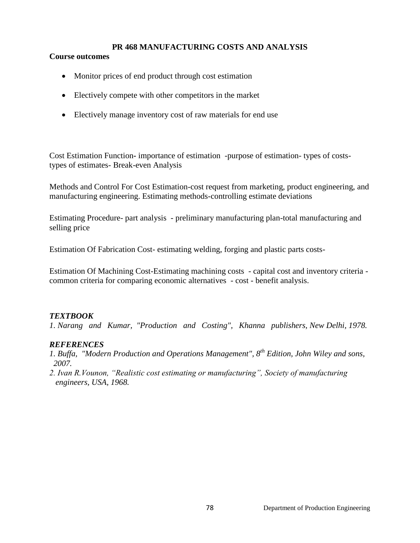### **PR 468 MANUFACTURING COSTS AND ANALYSIS**

### **Course outcomes**

- Monitor prices of end product through cost estimation
- Electively compete with other competitors in the market
- Electively manage inventory cost of raw materials for end use

Cost Estimation Function**-** importance of estimation -purpose of estimation- types of coststypes of estimates- Break-even Analysis

Methods and Control For Cost Estimation-cost request from marketing, product engineering, and manufacturing engineering. Estimating methods-controlling estimate deviations

Estimating Procedure- part analysis - preliminary manufacturing plan-total manufacturing and selling price

Estimation Of Fabrication Cost- estimating welding, forging and plastic parts costs-

Estimation Of Machining Cost-Estimating machining costs - capital cost and inventory criteria common criteria for comparing economic alternatives - cost - benefit analysis.

# *TEXTBOOK*

*1. Narang and Kumar, "Production and Costing", Khanna publishers, New Delhi, 1978.*

- *1. Buffa, "Modern Production and Operations Management", 8th Edition, John Wiley and sons, 2007.*
- *2. Ivan R.Vounon, "Realistic cost estimating or manufacturing", Society of manufacturing engineers, USA, 1968.*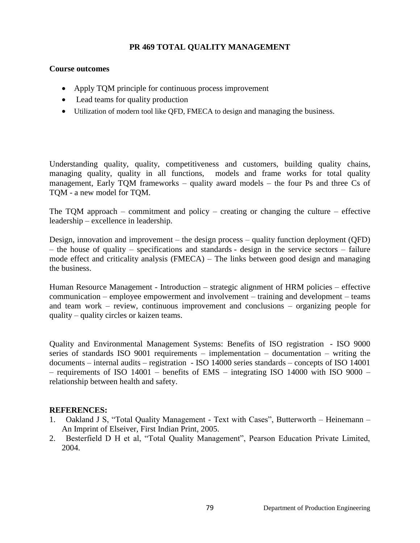## **PR 469 TOTAL QUALITY MANAGEMENT**

#### **Course outcomes**

- Apply TQM principle for continuous process improvement
- Lead teams for quality production
- Utilization of modern tool like QFD, FMECA to design and managing the business.

Understanding quality, quality, competitiveness and customers, building quality chains, managing quality, quality in all functions, models and frame works for total quality management, Early TQM frameworks – quality award models – the four Ps and three Cs of TQM - a new model for TQM.

The TQM approach – commitment and policy – creating or changing the culture – effective leadership – excellence in leadership.

Design, innovation and improvement – the design process – quality function deployment (QFD) – the house of quality – specifications and standards - design in the service sectors – failure mode effect and criticality analysis (FMECA) – The links between good design and managing the business.

Human Resource Management - Introduction – strategic alignment of HRM policies – effective communication – employee empowerment and involvement – training and development – teams and team work – review, continuous improvement and conclusions – organizing people for quality – quality circles or kaizen teams.

Quality and Environmental Management Systems: Benefits of ISO registration - ISO 9000 series of standards ISO 9001 requirements – implementation – documentation – writing the documents – internal audits – registration - ISO 14000 series standards – concepts of ISO 14001 – requirements of ISO 14001 – benefits of EMS – integrating ISO 14000 with ISO 9000 – relationship between health and safety.

- 1. Oakland J S, "Total Quality Management Text with Cases", Butterworth Heinemann An Imprint of Elseiver, First Indian Print, 2005.
- 2. Besterfield D H et al, "Total Quality Management", Pearson Education Private Limited, 2004.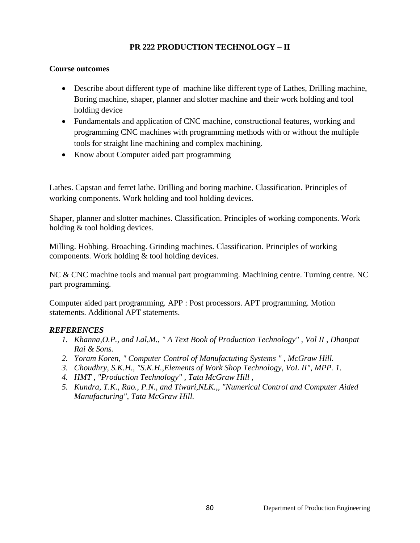# **PR 222 PRODUCTION TECHNOLOGY – II**

### **Course outcomes**

- Describe about different type of machine like different type of Lathes, Drilling machine, Boring machine, shaper, planner and slotter machine and their work holding and tool holding device
- Fundamentals and application of CNC machine, constructional features, working and programming CNC machines with programming methods with or without the multiple tools for straight line machining and complex machining.
- Know about Computer aided part programming

Lathes. Capstan and ferret lathe. Drilling and boring machine. Classification. Principles of working components. Work holding and tool holding devices.

Shaper, planner and slotter machines. Classification. Principles of working components. Work holding & tool holding devices.

Milling. Hobbing. Broaching. Grinding machines. Classification. Principles of working components. Work holding & tool holding devices.

NC & CNC machine tools and manual part programming. Machining centre. Turning centre. NC part programming.

Computer aided part programming. APP : Post processors. APT programming. Motion statements. Additional APT statements.

- *1. Khanna,O.P., and Lal,M., " A Text Book of Production Technology" , Vol II , Dhanpat Rai & Sons.*
- *2. Yoram Koren, " Computer Control of Manufactuting Systems " , McGraw Hill.*
- *3. Choudhry, S.K.H., "S.K.H.,Elements of Work Shop Technology, VoL II", MPP. 1.*
- *4. HMT , "Production Technology" , Tata McGraw Hill ,*
- *5. Kundra, T.K., Rao., P.N., and Tiwari,NLK.,, "Numerical Control and Computer Aided Manufacturing", Tata McGraw Hill.*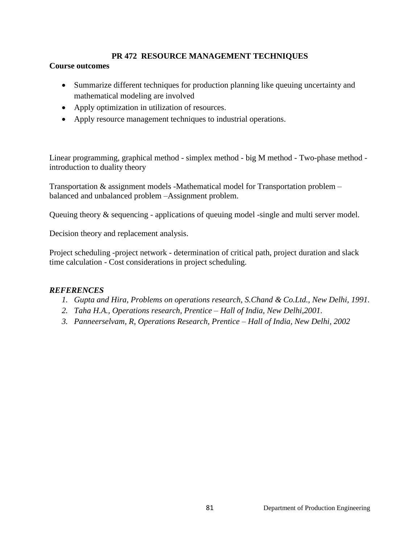# **PR 472 RESOURCE MANAGEMENT TECHNIQUES**

### **Course outcomes**

- Summarize different techniques for production planning like queuing uncertainty and mathematical modeling are involved
- Apply optimization in utilization of resources.
- Apply resource management techniques to industrial operations.

Linear programming, graphical method - simplex method - big M method - Two-phase method introduction to duality theory

Transportation & assignment models -Mathematical model for Transportation problem – balanced and unbalanced problem –Assignment problem.

Queuing theory & sequencing - applications of queuing model -single and multi server model.

Decision theory and replacement analysis.

Project scheduling -project network - determination of critical path, project duration and slack time calculation - Cost considerations in project scheduling.

- *1. Gupta and Hira, Problems on operations research, S.Chand & Co.Ltd., New Delhi, 1991.*
- *2. Taha H.A., Operations research, Prentice – Hall of India, New Delhi,2001.*
- *3. Panneerselvam, R, Operations Research, Prentice – Hall of India, New Delhi, 2002*